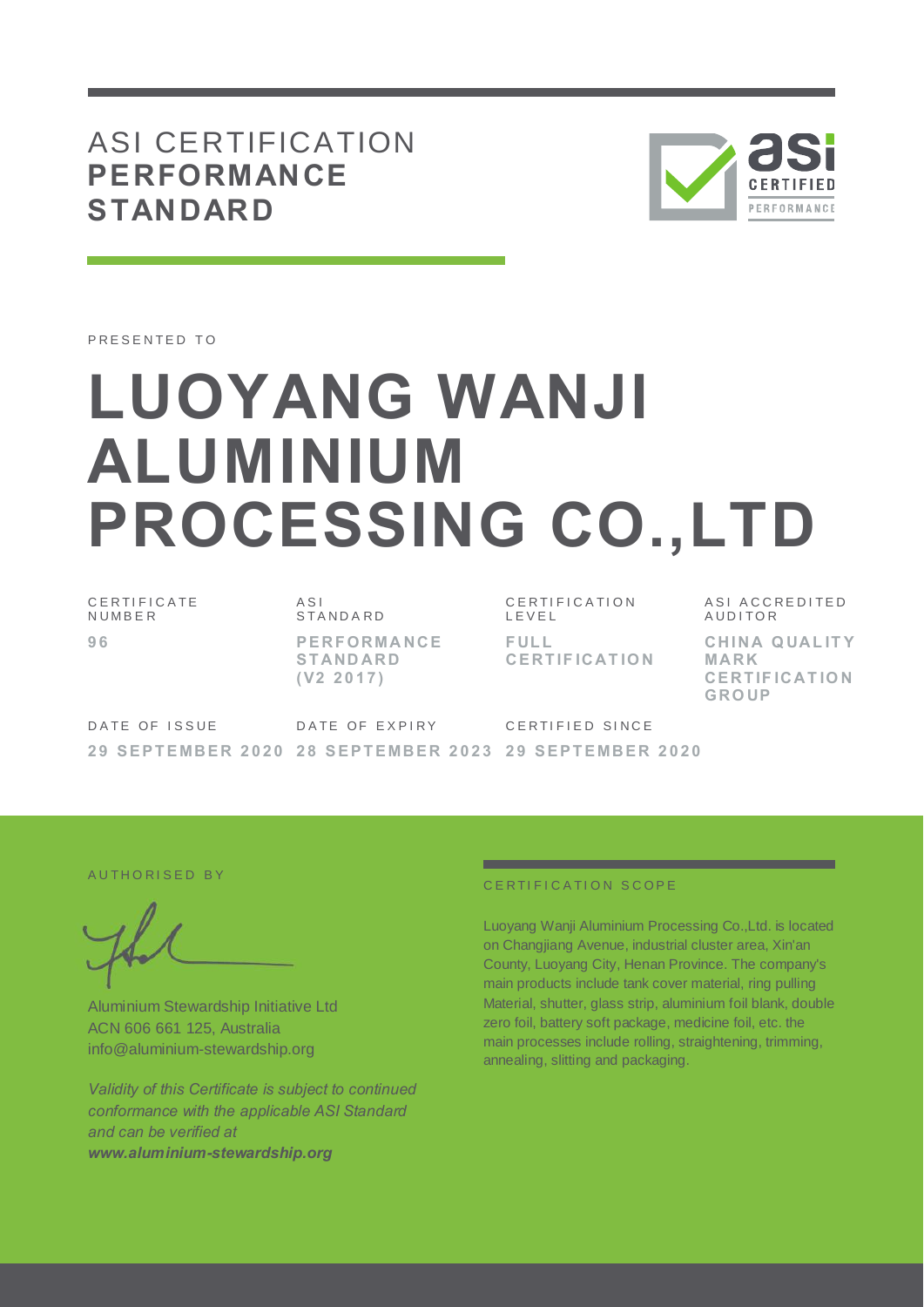## ASI CERTIFICATION **PERFORMANCE STANDARD**



PRESENTED TO

# **LUOYANG WANJI ALUMINIUM PROCESSING CO.,LTD**

C E R T I F I C A T E N U M B E R **9 6**

A S I S T A N D A R D **P E RF ORMA NCE S T AND ARD ( V2 2 0 1 7 )**

C E R T I F I C A T I O N L E V E L **F UL L CE RT IF ICAT IO N** ASI ACCREDITED AUDITOR **CHI NA Q UAL IT Y MARK CERT IF ICAT IO N GRO UP**

DATE OF ISSUE **2 9 S E P T E MBE R 2 0 2 0 2 8 S E P T E MBE R 2 0 2 3 2 9 S E P T E MBE R 2 0 2 0** DATE OF EXPIRY C F R T I F I F D S I N C F

AUTHORISED BY

Aluminium Stewardship Initiative Ltd ACN 606 661 125, Australia info@aluminium-stewardship.org

*Validity of this Certificate is subject to continued conformance with the applicable ASI Standard and can be verified at www.aluminium-stewardship.org*

#### CERTIFICATION SCOPE

Luoyang Wanji Aluminium Processing Co.,Ltd. is located on Changjiang Avenue, industrial cluster area, Xin'an County, Luoyang City, Henan Province. The company's main products include tank cover material, ring pulling Material, shutter, glass strip, aluminium foil blank, double zero foil, battery soft package, medicine foil, etc. the main processes include rolling, straightening, trimming, annealing, slitting and packaging.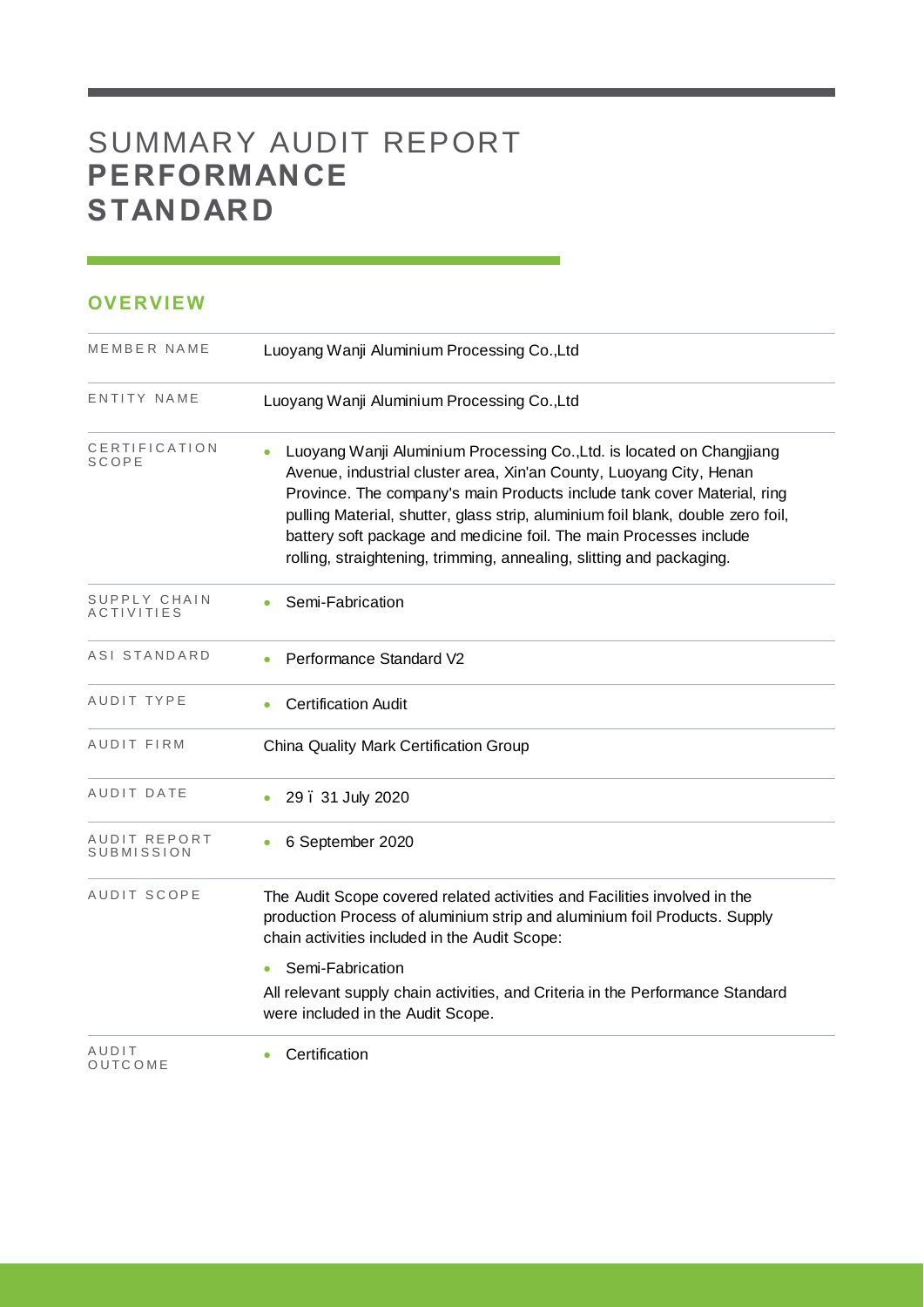## SUMMARY AUDIT REPORT **PERFORMANCE STANDARD**

#### **OVERVIEW**

| MEMBER NAME                       | Luoyang Wanji Aluminium Processing Co., Ltd                                                                                                                                                                                                                                                                                                                                                                                                              |  |  |  |
|-----------------------------------|----------------------------------------------------------------------------------------------------------------------------------------------------------------------------------------------------------------------------------------------------------------------------------------------------------------------------------------------------------------------------------------------------------------------------------------------------------|--|--|--|
| ENTITY NAME                       | Luoyang Wanji Aluminium Processing Co., Ltd                                                                                                                                                                                                                                                                                                                                                                                                              |  |  |  |
| CERTIFICATION<br>SCOPE            | Luoyang Wanji Aluminium Processing Co., Ltd. is located on Changjiang<br>Avenue, industrial cluster area, Xin'an County, Luoyang City, Henan<br>Province. The company's main Products include tank cover Material, ring<br>pulling Material, shutter, glass strip, aluminium foil blank, double zero foil,<br>battery soft package and medicine foil. The main Processes include<br>rolling, straightening, trimming, annealing, slitting and packaging. |  |  |  |
| SUPPLY CHAIN<br><b>ACTIVITIES</b> | Semi-Fabrication                                                                                                                                                                                                                                                                                                                                                                                                                                         |  |  |  |
| ASI STANDARD                      | Performance Standard V2                                                                                                                                                                                                                                                                                                                                                                                                                                  |  |  |  |
| AUDIT TYPE                        | <b>Certification Audit</b>                                                                                                                                                                                                                                                                                                                                                                                                                               |  |  |  |
| AUDIT FIRM                        | China Quality Mark Certification Group                                                                                                                                                                                                                                                                                                                                                                                                                   |  |  |  |
| AUDIT DATE                        | 29. 31 July 2020                                                                                                                                                                                                                                                                                                                                                                                                                                         |  |  |  |
| AUDIT REPORT<br>SUBMISSION        | 6 September 2020                                                                                                                                                                                                                                                                                                                                                                                                                                         |  |  |  |
| AUDIT SCOPE                       | The Audit Scope covered related activities and Facilities involved in the<br>production Process of aluminium strip and aluminium foil Products. Supply<br>chain activities included in the Audit Scope:                                                                                                                                                                                                                                                  |  |  |  |
|                                   | Semi-Fabrication<br>٠                                                                                                                                                                                                                                                                                                                                                                                                                                    |  |  |  |
|                                   | All relevant supply chain activities, and Criteria in the Performance Standard<br>were included in the Audit Scope.                                                                                                                                                                                                                                                                                                                                      |  |  |  |
| AUDIT<br>OUTCOME                  | Certification                                                                                                                                                                                                                                                                                                                                                                                                                                            |  |  |  |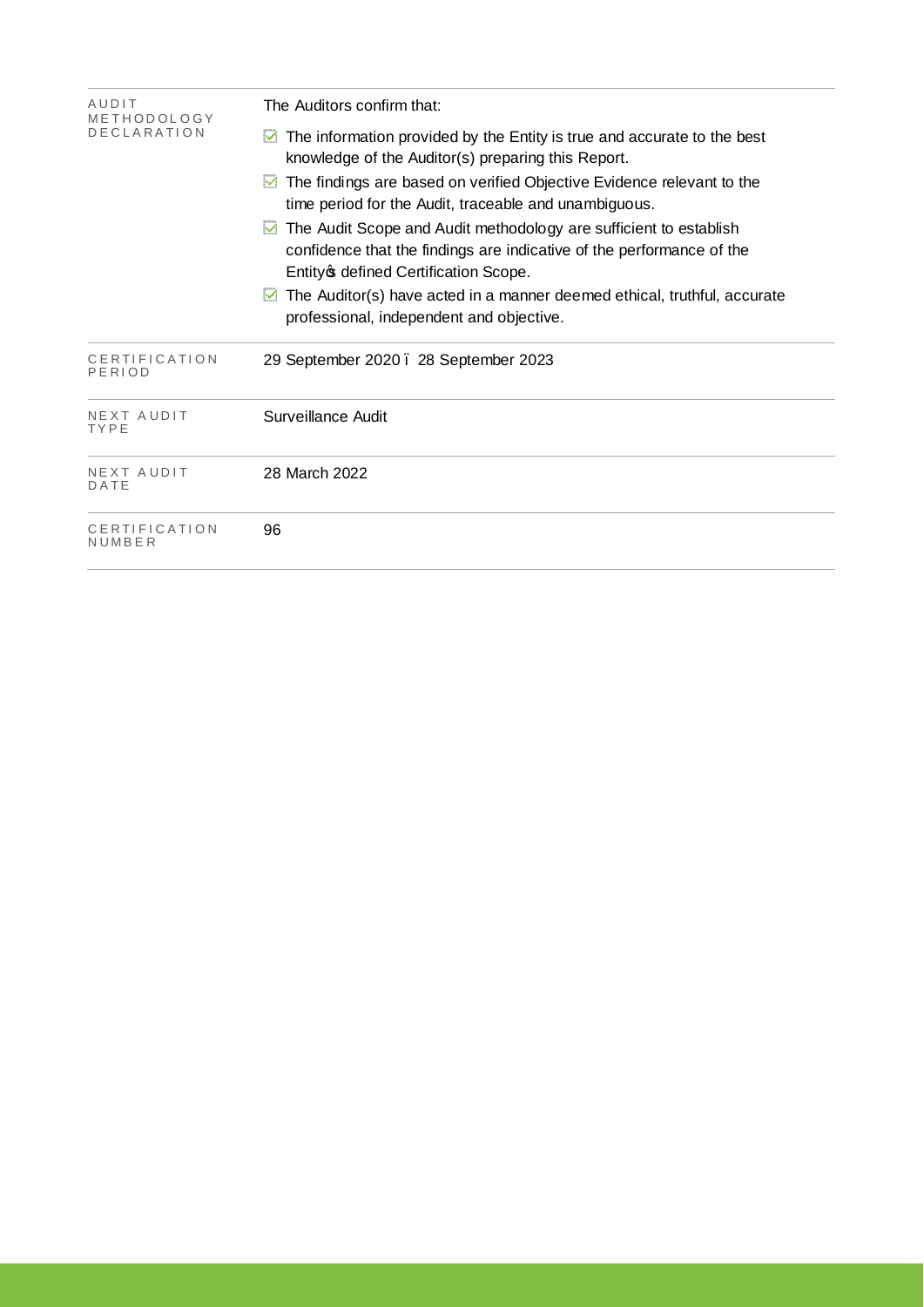| AUDIT<br>METHODOLOGY<br><b>DECLARATION</b> | The Auditors confirm that:                                                                                                                                                                                                                                                |  |  |  |  |
|--------------------------------------------|---------------------------------------------------------------------------------------------------------------------------------------------------------------------------------------------------------------------------------------------------------------------------|--|--|--|--|
|                                            | The information provided by the Entity is true and accurate to the best<br>м<br>knowledge of the Auditor(s) preparing this Report.<br>The findings are based on verified Objective Evidence relevant to the<br>M<br>time period for the Audit, traceable and unambiguous. |  |  |  |  |
|                                            |                                                                                                                                                                                                                                                                           |  |  |  |  |
|                                            | The Audit Scope and Audit methodology are sufficient to establish<br>confidence that the findings are indicative of the performance of the<br>Entity of defined Certification Scope.                                                                                      |  |  |  |  |
|                                            | The Auditor(s) have acted in a manner deemed ethical, truthful, accurate<br>м<br>professional, independent and objective.                                                                                                                                                 |  |  |  |  |
| CERTIFICATION<br>PERIOD                    | 29 September 2020. 28 September 2023                                                                                                                                                                                                                                      |  |  |  |  |
| NEXT AUDIT<br>TYPE                         | Surveillance Audit                                                                                                                                                                                                                                                        |  |  |  |  |
| NEXT AUDIT<br>DATE                         | 28 March 2022                                                                                                                                                                                                                                                             |  |  |  |  |
| CERTIFICATION<br>NUMBER                    | 96                                                                                                                                                                                                                                                                        |  |  |  |  |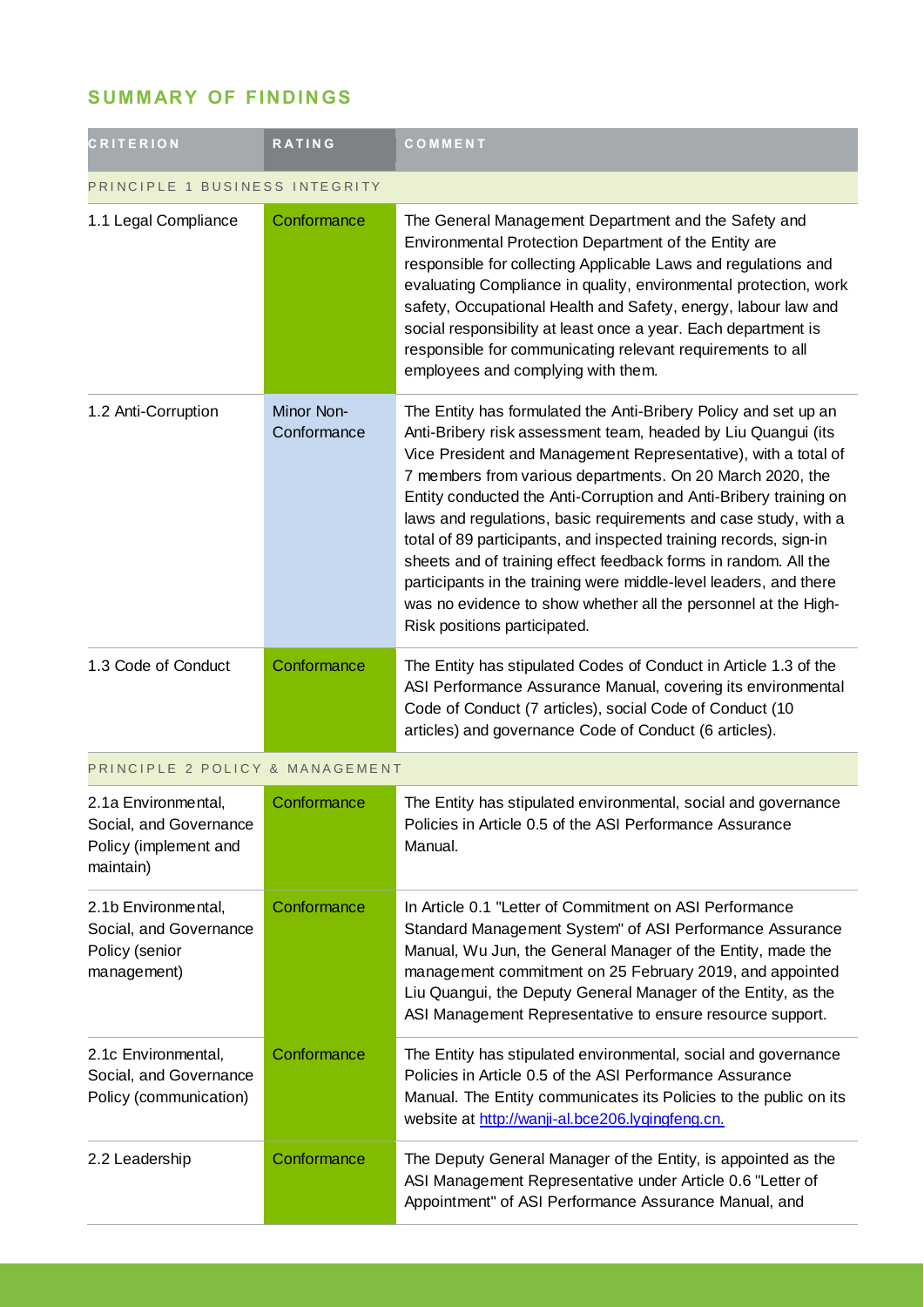### **SUMMARY OF FINDINGS**

| <b>CRITERION</b>                                                                    | <b>RATING</b>             | COMMENT                                                                                                                                                                                                                                                                                                                                                                                                                                                                                                                                                                                                                                                                                                                |
|-------------------------------------------------------------------------------------|---------------------------|------------------------------------------------------------------------------------------------------------------------------------------------------------------------------------------------------------------------------------------------------------------------------------------------------------------------------------------------------------------------------------------------------------------------------------------------------------------------------------------------------------------------------------------------------------------------------------------------------------------------------------------------------------------------------------------------------------------------|
| PRINCIPLE 1 BUSINESS INTEGRITY                                                      |                           |                                                                                                                                                                                                                                                                                                                                                                                                                                                                                                                                                                                                                                                                                                                        |
| 1.1 Legal Compliance                                                                | Conformance               | The General Management Department and the Safety and<br>Environmental Protection Department of the Entity are<br>responsible for collecting Applicable Laws and regulations and<br>evaluating Compliance in quality, environmental protection, work<br>safety, Occupational Health and Safety, energy, labour law and<br>social responsibility at least once a year. Each department is<br>responsible for communicating relevant requirements to all<br>employees and complying with them.                                                                                                                                                                                                                            |
| 1.2 Anti-Corruption                                                                 | Minor Non-<br>Conformance | The Entity has formulated the Anti-Bribery Policy and set up an<br>Anti-Bribery risk assessment team, headed by Liu Quangui (its<br>Vice President and Management Representative), with a total of<br>7 members from various departments. On 20 March 2020, the<br>Entity conducted the Anti-Corruption and Anti-Bribery training on<br>laws and regulations, basic requirements and case study, with a<br>total of 89 participants, and inspected training records, sign-in<br>sheets and of training effect feedback forms in random. All the<br>participants in the training were middle-level leaders, and there<br>was no evidence to show whether all the personnel at the High-<br>Risk positions participated. |
| 1.3 Code of Conduct                                                                 | Conformance               | The Entity has stipulated Codes of Conduct in Article 1.3 of the<br>ASI Performance Assurance Manual, covering its environmental<br>Code of Conduct (7 articles), social Code of Conduct (10<br>articles) and governance Code of Conduct (6 articles).                                                                                                                                                                                                                                                                                                                                                                                                                                                                 |
| PRINCIPLE 2 POLICY & MANAGEMENT                                                     |                           |                                                                                                                                                                                                                                                                                                                                                                                                                                                                                                                                                                                                                                                                                                                        |
| 2.1a Environmental,<br>Social, and Governance<br>Policy (implement and<br>maintain) | Conformance               | The Entity has stipulated environmental, social and governance<br>Policies in Article 0.5 of the ASI Performance Assurance<br>Manual.                                                                                                                                                                                                                                                                                                                                                                                                                                                                                                                                                                                  |
| 2.1b Environmental,<br>Social, and Governance<br>Policy (senior<br>management)      | Conformance               | In Article 0.1 "Letter of Commitment on ASI Performance<br>Standard Management System" of ASI Performance Assurance<br>Manual, Wu Jun, the General Manager of the Entity, made the<br>management commitment on 25 February 2019, and appointed<br>Liu Quangui, the Deputy General Manager of the Entity, as the<br>ASI Management Representative to ensure resource support.                                                                                                                                                                                                                                                                                                                                           |
| 2.1c Environmental,<br>Social, and Governance<br>Policy (communication)             | Conformance               | The Entity has stipulated environmental, social and governance<br>Policies in Article 0.5 of the ASI Performance Assurance<br>Manual. The Entity communicates its Policies to the public on its<br>website at http://wanji-al.bce206.lyqingfeng.cn.                                                                                                                                                                                                                                                                                                                                                                                                                                                                    |
| 2.2 Leadership                                                                      | Conformance               | The Deputy General Manager of the Entity, is appointed as the<br>ASI Management Representative under Article 0.6 "Letter of<br>Appointment" of ASI Performance Assurance Manual, and                                                                                                                                                                                                                                                                                                                                                                                                                                                                                                                                   |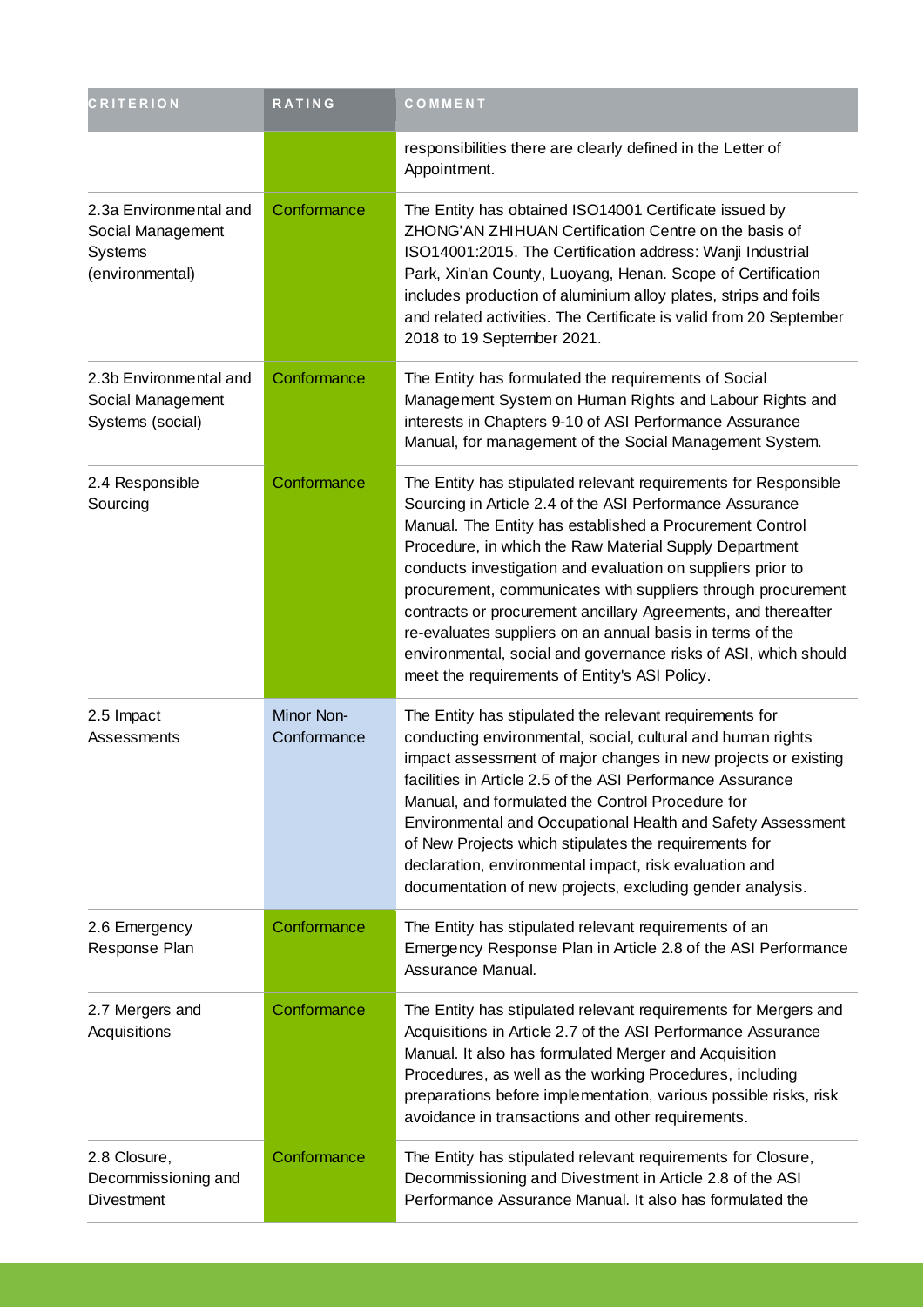| <b>CRITERION</b>                                                                 | <b>RATING</b>             | COMMENT                                                                                                                                                                                                                                                                                                                                                                                                                                                                                                                                                                                                                            |
|----------------------------------------------------------------------------------|---------------------------|------------------------------------------------------------------------------------------------------------------------------------------------------------------------------------------------------------------------------------------------------------------------------------------------------------------------------------------------------------------------------------------------------------------------------------------------------------------------------------------------------------------------------------------------------------------------------------------------------------------------------------|
|                                                                                  |                           | responsibilities there are clearly defined in the Letter of<br>Appointment.                                                                                                                                                                                                                                                                                                                                                                                                                                                                                                                                                        |
| 2.3a Environmental and<br>Social Management<br><b>Systems</b><br>(environmental) | Conformance               | The Entity has obtained ISO14001 Certificate issued by<br>ZHONG'AN ZHIHUAN Certification Centre on the basis of<br>ISO14001:2015. The Certification address: Wanji Industrial<br>Park, Xin'an County, Luoyang, Henan. Scope of Certification<br>includes production of aluminium alloy plates, strips and foils<br>and related activities. The Certificate is valid from 20 September<br>2018 to 19 September 2021.                                                                                                                                                                                                                |
| 2.3b Environmental and<br>Social Management<br>Systems (social)                  | Conformance               | The Entity has formulated the requirements of Social<br>Management System on Human Rights and Labour Rights and<br>interests in Chapters 9-10 of ASI Performance Assurance<br>Manual, for management of the Social Management System.                                                                                                                                                                                                                                                                                                                                                                                              |
| 2.4 Responsible<br>Sourcing                                                      | Conformance               | The Entity has stipulated relevant requirements for Responsible<br>Sourcing in Article 2.4 of the ASI Performance Assurance<br>Manual. The Entity has established a Procurement Control<br>Procedure, in which the Raw Material Supply Department<br>conducts investigation and evaluation on suppliers prior to<br>procurement, communicates with suppliers through procurement<br>contracts or procurement ancillary Agreements, and thereafter<br>re-evaluates suppliers on an annual basis in terms of the<br>environmental, social and governance risks of ASI, which should<br>meet the requirements of Entity's ASI Policy. |
| 2.5 Impact<br>Assessments                                                        | Minor Non-<br>Conformance | The Entity has stipulated the relevant requirements for<br>conducting environmental, social, cultural and human rights<br>impact assessment of major changes in new projects or existing<br>facilities in Article 2.5 of the ASI Performance Assurance<br>Manual, and formulated the Control Procedure for<br>Environmental and Occupational Health and Safety Assessment<br>of New Projects which stipulates the requirements for<br>declaration, environmental impact, risk evaluation and<br>documentation of new projects, excluding gender analysis.                                                                          |
| 2.6 Emergency<br>Response Plan                                                   | Conformance               | The Entity has stipulated relevant requirements of an<br>Emergency Response Plan in Article 2.8 of the ASI Performance<br>Assurance Manual.                                                                                                                                                                                                                                                                                                                                                                                                                                                                                        |
| 2.7 Mergers and<br>Acquisitions                                                  | Conformance               | The Entity has stipulated relevant requirements for Mergers and<br>Acquisitions in Article 2.7 of the ASI Performance Assurance<br>Manual. It also has formulated Merger and Acquisition<br>Procedures, as well as the working Procedures, including<br>preparations before implementation, various possible risks, risk<br>avoidance in transactions and other requirements.                                                                                                                                                                                                                                                      |
| 2.8 Closure,<br>Decommissioning and<br>Divestment                                | Conformance               | The Entity has stipulated relevant requirements for Closure,<br>Decommissioning and Divestment in Article 2.8 of the ASI<br>Performance Assurance Manual. It also has formulated the                                                                                                                                                                                                                                                                                                                                                                                                                                               |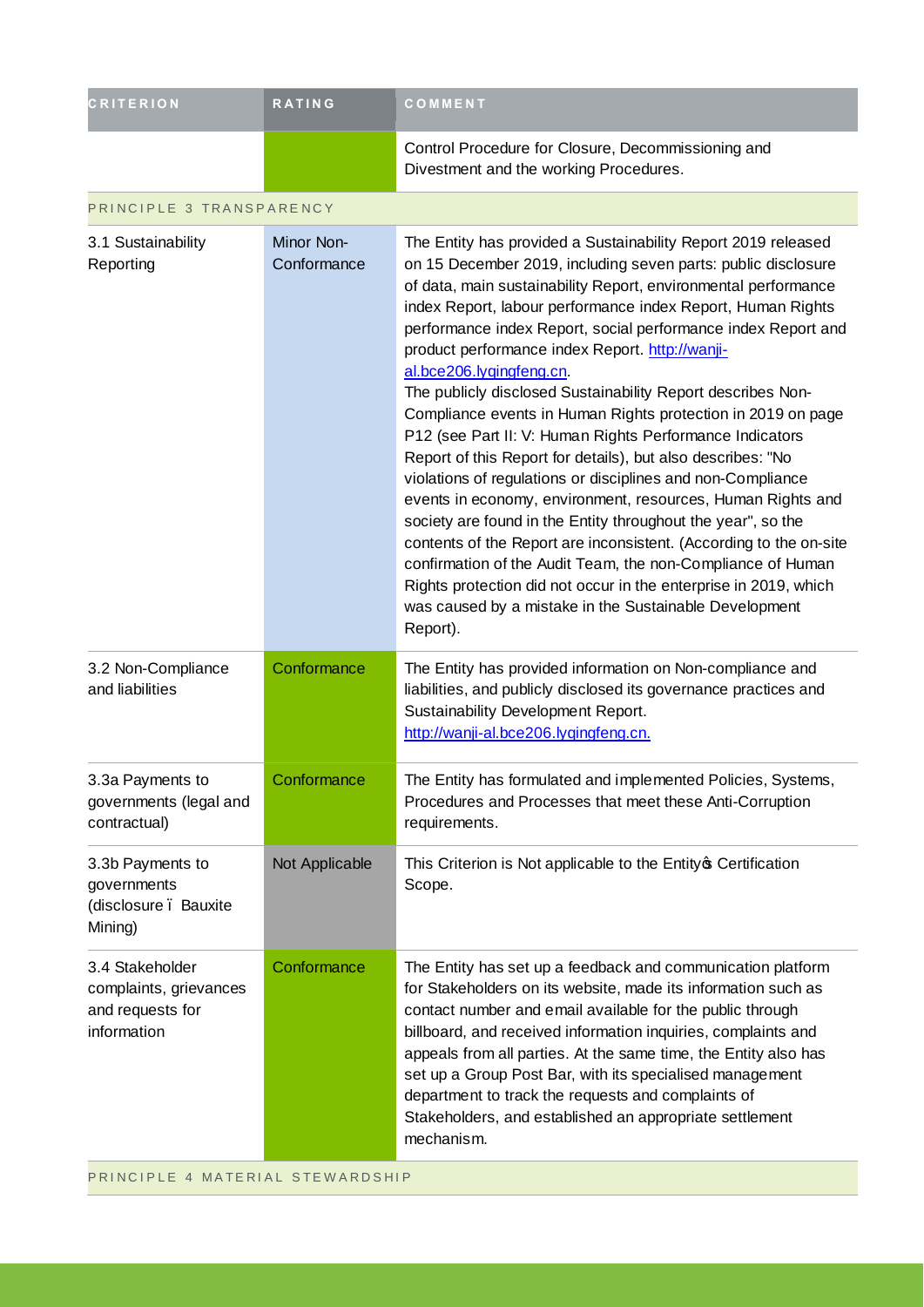| <b>CRITERION</b>                                                             | <b>RATING</b>             | COMMENT                                                                                                                                                                                                                                                                                                                                                                                                                                                                                                                                                                                                                                                                                                                                                                                                                                                                                                                                                                                                                                                                                                                                                |
|------------------------------------------------------------------------------|---------------------------|--------------------------------------------------------------------------------------------------------------------------------------------------------------------------------------------------------------------------------------------------------------------------------------------------------------------------------------------------------------------------------------------------------------------------------------------------------------------------------------------------------------------------------------------------------------------------------------------------------------------------------------------------------------------------------------------------------------------------------------------------------------------------------------------------------------------------------------------------------------------------------------------------------------------------------------------------------------------------------------------------------------------------------------------------------------------------------------------------------------------------------------------------------|
|                                                                              |                           | Control Procedure for Closure, Decommissioning and<br>Divestment and the working Procedures.                                                                                                                                                                                                                                                                                                                                                                                                                                                                                                                                                                                                                                                                                                                                                                                                                                                                                                                                                                                                                                                           |
| PRINCIPLE 3 TRANSPARENCY                                                     |                           |                                                                                                                                                                                                                                                                                                                                                                                                                                                                                                                                                                                                                                                                                                                                                                                                                                                                                                                                                                                                                                                                                                                                                        |
| 3.1 Sustainability<br>Reporting                                              | Minor Non-<br>Conformance | The Entity has provided a Sustainability Report 2019 released<br>on 15 December 2019, including seven parts: public disclosure<br>of data, main sustainability Report, environmental performance<br>index Report, labour performance index Report, Human Rights<br>performance index Report, social performance index Report and<br>product performance index Report. http://wanji-<br>al.bce206.lygingfeng.cn.<br>The publicly disclosed Sustainability Report describes Non-<br>Compliance events in Human Rights protection in 2019 on page<br>P12 (see Part II: V: Human Rights Performance Indicators<br>Report of this Report for details), but also describes: "No<br>violations of regulations or disciplines and non-Compliance<br>events in economy, environment, resources, Human Rights and<br>society are found in the Entity throughout the year", so the<br>contents of the Report are inconsistent. (According to the on-site<br>confirmation of the Audit Team, the non-Compliance of Human<br>Rights protection did not occur in the enterprise in 2019, which<br>was caused by a mistake in the Sustainable Development<br>Report). |
| 3.2 Non-Compliance<br>and liabilities                                        | Conformance               | The Entity has provided information on Non-compliance and<br>liabilities, and publicly disclosed its governance practices and<br>Sustainability Development Report.<br>http://wanji-al.bce206.lygingfeng.cn.                                                                                                                                                                                                                                                                                                                                                                                                                                                                                                                                                                                                                                                                                                                                                                                                                                                                                                                                           |
| 3.3a Payments to<br>governments (legal and<br>contractual)                   | Conformance               | The Entity has formulated and implemented Policies, Systems,<br>Procedures and Processes that meet these Anti-Corruption<br>requirements.                                                                                                                                                                                                                                                                                                                                                                                                                                                                                                                                                                                                                                                                                                                                                                                                                                                                                                                                                                                                              |
| 3.3b Payments to<br>governments<br>(disclosure . Bauxite<br>Mining)          | Not Applicable            | This Criterion is Not applicable to the Entity of Certification<br>Scope.                                                                                                                                                                                                                                                                                                                                                                                                                                                                                                                                                                                                                                                                                                                                                                                                                                                                                                                                                                                                                                                                              |
| 3.4 Stakeholder<br>complaints, grievances<br>and requests for<br>information | Conformance               | The Entity has set up a feedback and communication platform<br>for Stakeholders on its website, made its information such as<br>contact number and email available for the public through<br>billboard, and received information inquiries, complaints and<br>appeals from all parties. At the same time, the Entity also has<br>set up a Group Post Bar, with its specialised management<br>department to track the requests and complaints of<br>Stakeholders, and established an appropriate settlement<br>mechanism.                                                                                                                                                                                                                                                                                                                                                                                                                                                                                                                                                                                                                               |

PRINCIPLE 4 MATERIAL STEWARDSHIP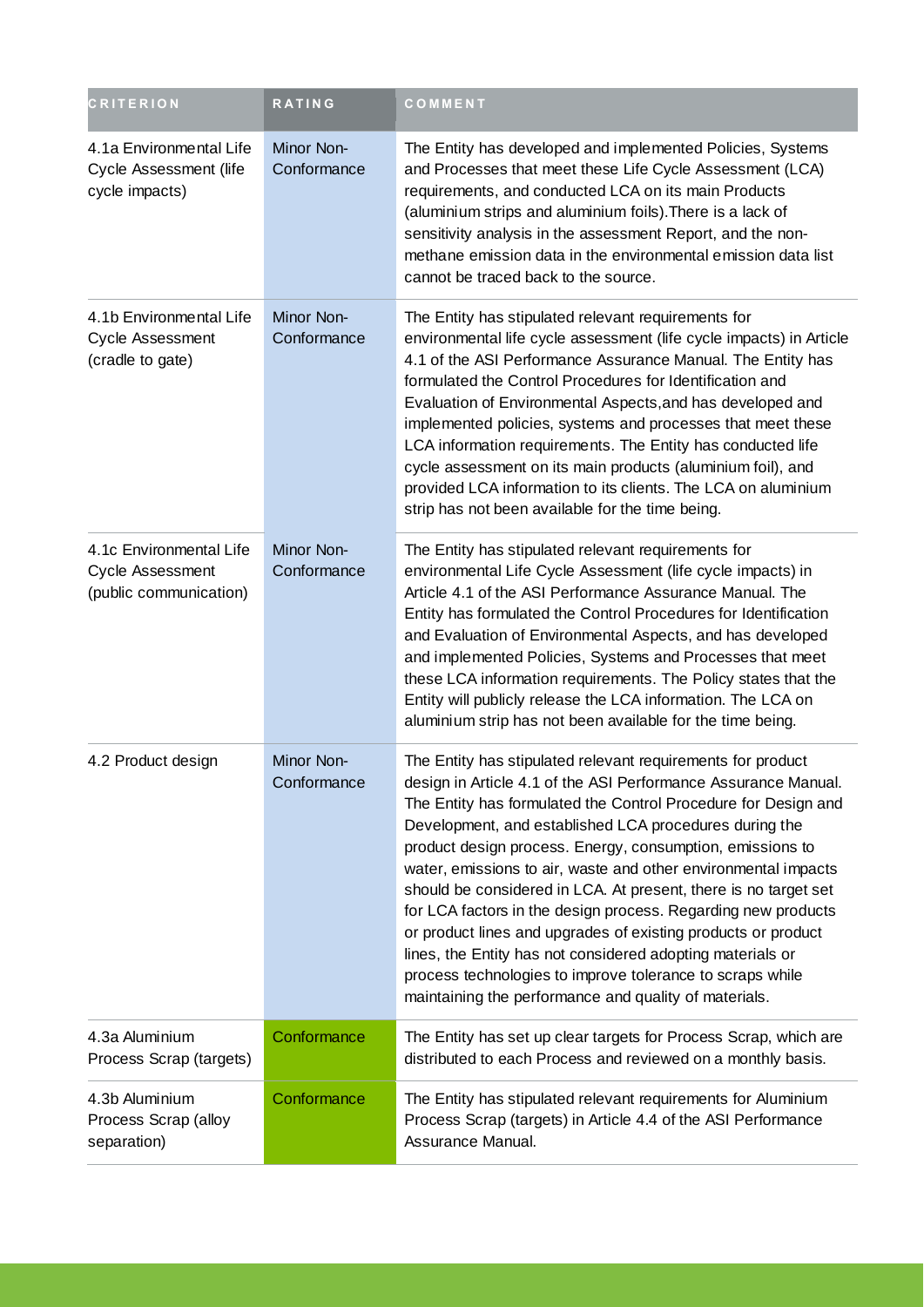| <b>CRITERION</b>                                                      | <b>RATING</b>             | COMMENT                                                                                                                                                                                                                                                                                                                                                                                                                                                                                                                                                                                                                                                                                                                                                                           |
|-----------------------------------------------------------------------|---------------------------|-----------------------------------------------------------------------------------------------------------------------------------------------------------------------------------------------------------------------------------------------------------------------------------------------------------------------------------------------------------------------------------------------------------------------------------------------------------------------------------------------------------------------------------------------------------------------------------------------------------------------------------------------------------------------------------------------------------------------------------------------------------------------------------|
| 4.1a Environmental Life<br>Cycle Assessment (life<br>cycle impacts)   | Minor Non-<br>Conformance | The Entity has developed and implemented Policies, Systems<br>and Processes that meet these Life Cycle Assessment (LCA)<br>requirements, and conducted LCA on its main Products<br>(aluminium strips and aluminium foils). There is a lack of<br>sensitivity analysis in the assessment Report, and the non-<br>methane emission data in the environmental emission data list<br>cannot be traced back to the source.                                                                                                                                                                                                                                                                                                                                                             |
| 4.1b Environmental Life<br>Cycle Assessment<br>(cradle to gate)       | Minor Non-<br>Conformance | The Entity has stipulated relevant requirements for<br>environmental life cycle assessment (life cycle impacts) in Article<br>4.1 of the ASI Performance Assurance Manual. The Entity has<br>formulated the Control Procedures for Identification and<br>Evaluation of Environmental Aspects, and has developed and<br>implemented policies, systems and processes that meet these<br>LCA information requirements. The Entity has conducted life<br>cycle assessment on its main products (aluminium foil), and<br>provided LCA information to its clients. The LCA on aluminium<br>strip has not been available for the time being.                                                                                                                                             |
| 4.1c Environmental Life<br>Cycle Assessment<br>(public communication) | Minor Non-<br>Conformance | The Entity has stipulated relevant requirements for<br>environmental Life Cycle Assessment (life cycle impacts) in<br>Article 4.1 of the ASI Performance Assurance Manual. The<br>Entity has formulated the Control Procedures for Identification<br>and Evaluation of Environmental Aspects, and has developed<br>and implemented Policies, Systems and Processes that meet<br>these LCA information requirements. The Policy states that the<br>Entity will publicly release the LCA information. The LCA on<br>aluminium strip has not been available for the time being.                                                                                                                                                                                                      |
| 4.2 Product design                                                    | Minor Non-<br>Conformance | The Entity has stipulated relevant requirements for product<br>design in Article 4.1 of the ASI Performance Assurance Manual.<br>The Entity has formulated the Control Procedure for Design and<br>Development, and established LCA procedures during the<br>product design process. Energy, consumption, emissions to<br>water, emissions to air, waste and other environmental impacts<br>should be considered in LCA. At present, there is no target set<br>for LCA factors in the design process. Regarding new products<br>or product lines and upgrades of existing products or product<br>lines, the Entity has not considered adopting materials or<br>process technologies to improve tolerance to scraps while<br>maintaining the performance and quality of materials. |
| 4.3a Aluminium<br>Process Scrap (targets)                             | Conformance               | The Entity has set up clear targets for Process Scrap, which are<br>distributed to each Process and reviewed on a monthly basis.                                                                                                                                                                                                                                                                                                                                                                                                                                                                                                                                                                                                                                                  |
| 4.3b Aluminium<br>Process Scrap (alloy<br>separation)                 | Conformance               | The Entity has stipulated relevant requirements for Aluminium<br>Process Scrap (targets) in Article 4.4 of the ASI Performance<br>Assurance Manual.                                                                                                                                                                                                                                                                                                                                                                                                                                                                                                                                                                                                                               |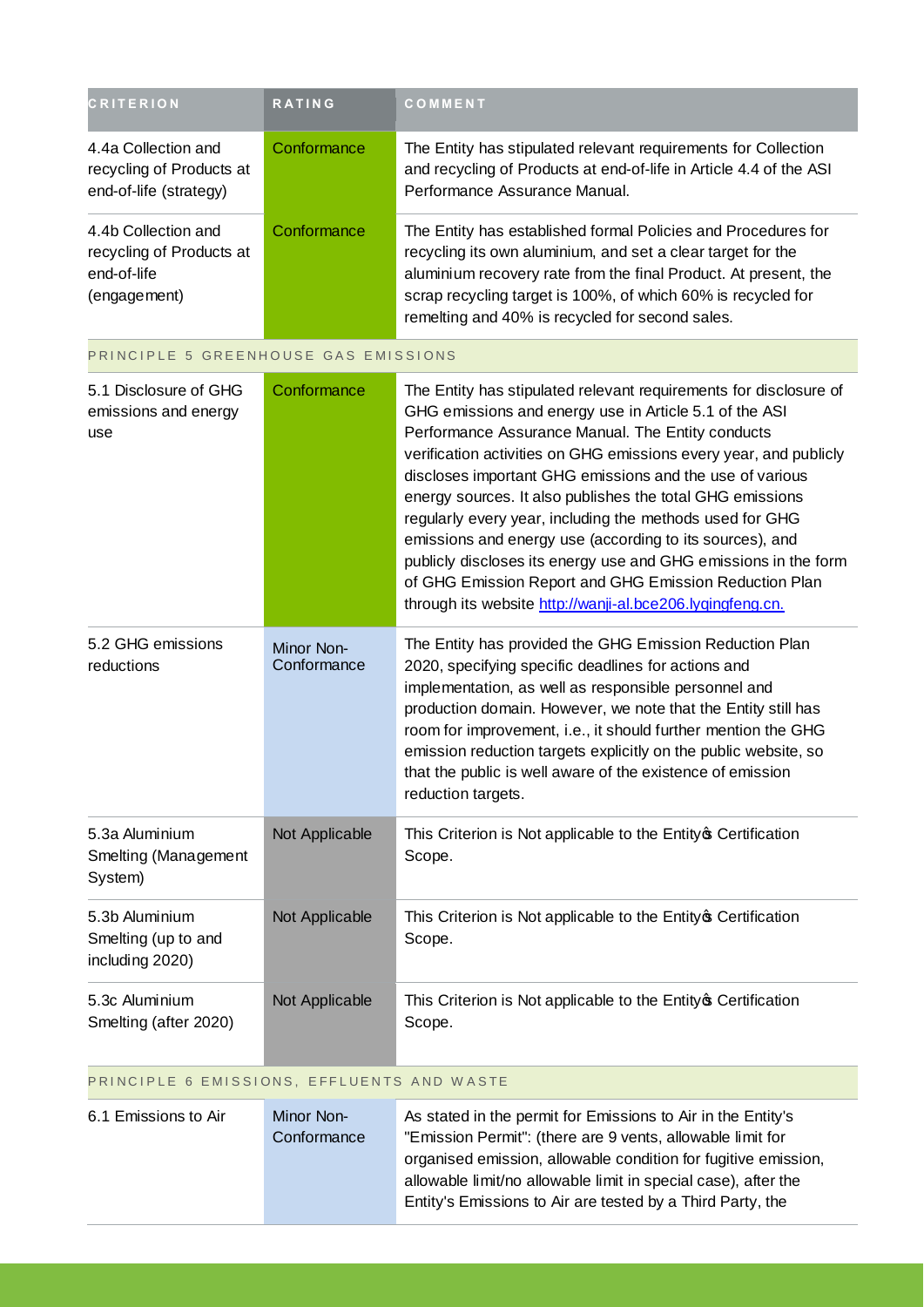| <b>CRITERION</b>                                                               | <b>RATING</b> | COMMENT                                                                                                                                                                                                                                                                                                            |
|--------------------------------------------------------------------------------|---------------|--------------------------------------------------------------------------------------------------------------------------------------------------------------------------------------------------------------------------------------------------------------------------------------------------------------------|
| 4.4a Collection and<br>recycling of Products at<br>end-of-life (strategy)      | Conformance   | The Entity has stipulated relevant requirements for Collection<br>and recycling of Products at end-of-life in Article 4.4 of the ASI<br>Performance Assurance Manual.                                                                                                                                              |
| 4.4b Collection and<br>recycling of Products at<br>end-of-life<br>(engagement) | Conformance   | The Entity has established formal Policies and Procedures for<br>recycling its own aluminium, and set a clear target for the<br>aluminium recovery rate from the final Product. At present, the<br>scrap recycling target is 100%, of which 60% is recycled for<br>remelting and 40% is recycled for second sales. |

| PRINCIPLE 5 GREENHOUSE GAS EMISSIONS                     |                           |                                                                                                                                                                                                                                                                                                                                                                                                                                                                                                                                                                                                                                                                                                  |
|----------------------------------------------------------|---------------------------|--------------------------------------------------------------------------------------------------------------------------------------------------------------------------------------------------------------------------------------------------------------------------------------------------------------------------------------------------------------------------------------------------------------------------------------------------------------------------------------------------------------------------------------------------------------------------------------------------------------------------------------------------------------------------------------------------|
| 5.1 Disclosure of GHG<br>emissions and energy<br>use     | Conformance               | The Entity has stipulated relevant requirements for disclosure of<br>GHG emissions and energy use in Article 5.1 of the ASI<br>Performance Assurance Manual. The Entity conducts<br>verification activities on GHG emissions every year, and publicly<br>discloses important GHG emissions and the use of various<br>energy sources. It also publishes the total GHG emissions<br>regularly every year, including the methods used for GHG<br>emissions and energy use (according to its sources), and<br>publicly discloses its energy use and GHG emissions in the form<br>of GHG Emission Report and GHG Emission Reduction Plan<br>through its website http://wanji-al.bce206.lyqingfeng.cn. |
| 5.2 GHG emissions<br>reductions                          | Minor Non-<br>Conformance | The Entity has provided the GHG Emission Reduction Plan<br>2020, specifying specific deadlines for actions and<br>implementation, as well as responsible personnel and<br>production domain. However, we note that the Entity still has<br>room for improvement, i.e., it should further mention the GHG<br>emission reduction targets explicitly on the public website, so<br>that the public is well aware of the existence of emission<br>reduction targets.                                                                                                                                                                                                                                  |
| 5.3a Aluminium<br>Smelting (Management<br>System)        | Not Applicable            | This Criterion is Not applicable to the Entity of Certification<br>Scope.                                                                                                                                                                                                                                                                                                                                                                                                                                                                                                                                                                                                                        |
| 5.3b Aluminium<br>Smelting (up to and<br>including 2020) | Not Applicable            | This Criterion is Not applicable to the Entity of Certification<br>Scope.                                                                                                                                                                                                                                                                                                                                                                                                                                                                                                                                                                                                                        |
| 5.3c Aluminium<br>Smelting (after 2020)                  | Not Applicable            | This Criterion is Not applicable to the Entity of Certification<br>Scope.                                                                                                                                                                                                                                                                                                                                                                                                                                                                                                                                                                                                                        |

#### PRINCIPLE 6 EMISSIONS, EFFLUENTS AND WASTE

| 6.1 Emissions to Air | Minor Non-  | As stated in the permit for Emissions to Air in the Entity's   |
|----------------------|-------------|----------------------------------------------------------------|
|                      | Conformance | "Emission Permit": (there are 9 vents, allowable limit for     |
|                      |             | organised emission, allowable condition for fugitive emission, |
|                      |             | allowable limit/no allowable limit in special case), after the |
|                      |             | Entity's Emissions to Air are tested by a Third Party, the     |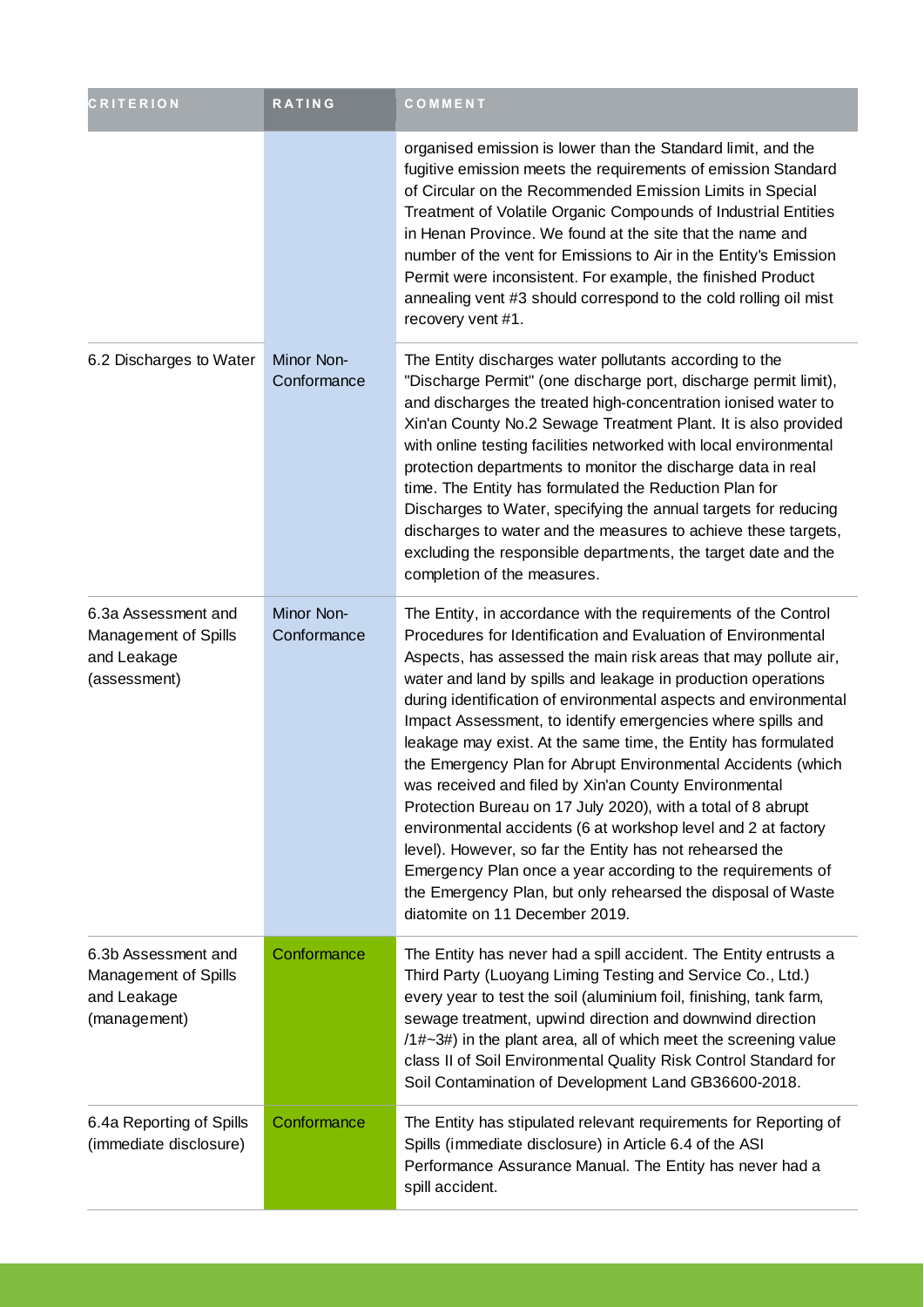| <b>CRITERION</b>                                                           | RATING                           | COMMENT                                                                                                                                                                                                                                                                                                                                                                                                                                                                                                                                                                                                                                                                                                                                                                                                                                                                                                                                                         |
|----------------------------------------------------------------------------|----------------------------------|-----------------------------------------------------------------------------------------------------------------------------------------------------------------------------------------------------------------------------------------------------------------------------------------------------------------------------------------------------------------------------------------------------------------------------------------------------------------------------------------------------------------------------------------------------------------------------------------------------------------------------------------------------------------------------------------------------------------------------------------------------------------------------------------------------------------------------------------------------------------------------------------------------------------------------------------------------------------|
|                                                                            |                                  | organised emission is lower than the Standard limit, and the<br>fugitive emission meets the requirements of emission Standard<br>of Circular on the Recommended Emission Limits in Special<br>Treatment of Volatile Organic Compounds of Industrial Entities<br>in Henan Province. We found at the site that the name and<br>number of the vent for Emissions to Air in the Entity's Emission<br>Permit were inconsistent. For example, the finished Product<br>annealing vent #3 should correspond to the cold rolling oil mist<br>recovery vent #1.                                                                                                                                                                                                                                                                                                                                                                                                           |
| 6.2 Discharges to Water                                                    | <b>Minor Non-</b><br>Conformance | The Entity discharges water pollutants according to the<br>"Discharge Permit" (one discharge port, discharge permit limit),<br>and discharges the treated high-concentration ionised water to<br>Xin'an County No.2 Sewage Treatment Plant. It is also provided<br>with online testing facilities networked with local environmental<br>protection departments to monitor the discharge data in real<br>time. The Entity has formulated the Reduction Plan for<br>Discharges to Water, specifying the annual targets for reducing<br>discharges to water and the measures to achieve these targets,<br>excluding the responsible departments, the target date and the<br>completion of the measures.                                                                                                                                                                                                                                                            |
| 6.3a Assessment and<br>Management of Spills<br>and Leakage<br>(assessment) | <b>Minor Non-</b><br>Conformance | The Entity, in accordance with the requirements of the Control<br>Procedures for Identification and Evaluation of Environmental<br>Aspects, has assessed the main risk areas that may pollute air,<br>water and land by spills and leakage in production operations<br>during identification of environmental aspects and environmental<br>Impact Assessment, to identify emergencies where spills and<br>leakage may exist. At the same time, the Entity has formulated<br>the Emergency Plan for Abrupt Environmental Accidents (which<br>was received and filed by Xin'an County Environmental<br>Protection Bureau on 17 July 2020), with a total of 8 abrupt<br>environmental accidents (6 at workshop level and 2 at factory<br>level). However, so far the Entity has not rehearsed the<br>Emergency Plan once a year according to the requirements of<br>the Emergency Plan, but only rehearsed the disposal of Waste<br>diatomite on 11 December 2019. |
| 6.3b Assessment and<br>Management of Spills<br>and Leakage<br>(management) | Conformance                      | The Entity has never had a spill accident. The Entity entrusts a<br>Third Party (Luoyang Liming Testing and Service Co., Ltd.)<br>every year to test the soil (aluminium foil, finishing, tank farm,<br>sewage treatment, upwind direction and downwind direction<br>$(1#~3#)$ in the plant area, all of which meet the screening value<br>class II of Soil Environmental Quality Risk Control Standard for<br>Soil Contamination of Development Land GB36600-2018.                                                                                                                                                                                                                                                                                                                                                                                                                                                                                             |
| 6.4a Reporting of Spills<br>(immediate disclosure)                         | Conformance                      | The Entity has stipulated relevant requirements for Reporting of<br>Spills (immediate disclosure) in Article 6.4 of the ASI<br>Performance Assurance Manual. The Entity has never had a<br>spill accident.                                                                                                                                                                                                                                                                                                                                                                                                                                                                                                                                                                                                                                                                                                                                                      |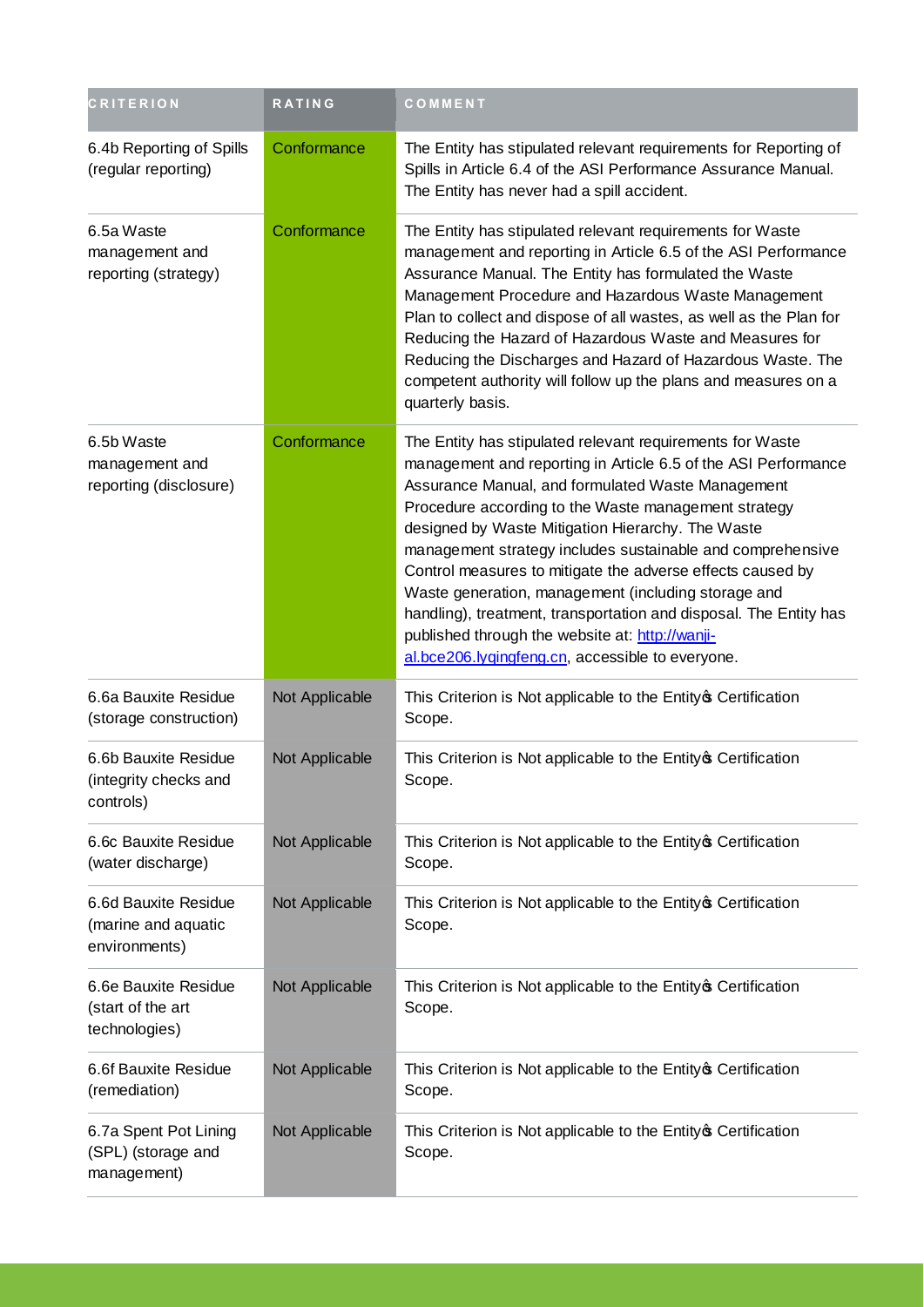| <b>CRITERION</b>                                             | <b>RATING</b>  | COMMENT                                                                                                                                                                                                                                                                                                                                                                                                                                                                                                                                                                                                                                                      |
|--------------------------------------------------------------|----------------|--------------------------------------------------------------------------------------------------------------------------------------------------------------------------------------------------------------------------------------------------------------------------------------------------------------------------------------------------------------------------------------------------------------------------------------------------------------------------------------------------------------------------------------------------------------------------------------------------------------------------------------------------------------|
| 6.4b Reporting of Spills<br>(regular reporting)              | Conformance    | The Entity has stipulated relevant requirements for Reporting of<br>Spills in Article 6.4 of the ASI Performance Assurance Manual.<br>The Entity has never had a spill accident.                                                                                                                                                                                                                                                                                                                                                                                                                                                                             |
| 6.5a Waste<br>management and<br>reporting (strategy)         | Conformance    | The Entity has stipulated relevant requirements for Waste<br>management and reporting in Article 6.5 of the ASI Performance<br>Assurance Manual. The Entity has formulated the Waste<br>Management Procedure and Hazardous Waste Management<br>Plan to collect and dispose of all wastes, as well as the Plan for<br>Reducing the Hazard of Hazardous Waste and Measures for<br>Reducing the Discharges and Hazard of Hazardous Waste. The<br>competent authority will follow up the plans and measures on a<br>quarterly basis.                                                                                                                             |
| 6.5b Waste<br>management and<br>reporting (disclosure)       | Conformance    | The Entity has stipulated relevant requirements for Waste<br>management and reporting in Article 6.5 of the ASI Performance<br>Assurance Manual, and formulated Waste Management<br>Procedure according to the Waste management strategy<br>designed by Waste Mitigation Hierarchy. The Waste<br>management strategy includes sustainable and comprehensive<br>Control measures to mitigate the adverse effects caused by<br>Waste generation, management (including storage and<br>handling), treatment, transportation and disposal. The Entity has<br>published through the website at: http://wanji-<br>al.bce206.lygingfeng.cn, accessible to everyone. |
| 6.6a Bauxite Residue<br>(storage construction)               | Not Applicable | This Criterion is Not applicable to the Entity of Certification<br>Scope.                                                                                                                                                                                                                                                                                                                                                                                                                                                                                                                                                                                    |
| 6.6b Bauxite Residue<br>(integrity checks and<br>controls)   | Not Applicable | This Criterion is Not applicable to the Entity of Certification<br>Scope.                                                                                                                                                                                                                                                                                                                                                                                                                                                                                                                                                                                    |
| 6.6c Bauxite Residue<br>(water discharge)                    | Not Applicable | This Criterion is Not applicable to the Entity of Certification<br>Scope.                                                                                                                                                                                                                                                                                                                                                                                                                                                                                                                                                                                    |
| 6.6d Bauxite Residue<br>(marine and aquatic<br>environments) | Not Applicable | This Criterion is Not applicable to the Entity of Certification<br>Scope.                                                                                                                                                                                                                                                                                                                                                                                                                                                                                                                                                                                    |
| 6.6e Bauxite Residue<br>(start of the art<br>technologies)   | Not Applicable | This Criterion is Not applicable to the Entity of Certification<br>Scope.                                                                                                                                                                                                                                                                                                                                                                                                                                                                                                                                                                                    |
| 6.6f Bauxite Residue<br>(remediation)                        | Not Applicable | This Criterion is Not applicable to the Entity of Certification<br>Scope.                                                                                                                                                                                                                                                                                                                                                                                                                                                                                                                                                                                    |
| 6.7a Spent Pot Lining<br>(SPL) (storage and<br>management)   | Not Applicable | This Criterion is Not applicable to the Entity of Certification<br>Scope.                                                                                                                                                                                                                                                                                                                                                                                                                                                                                                                                                                                    |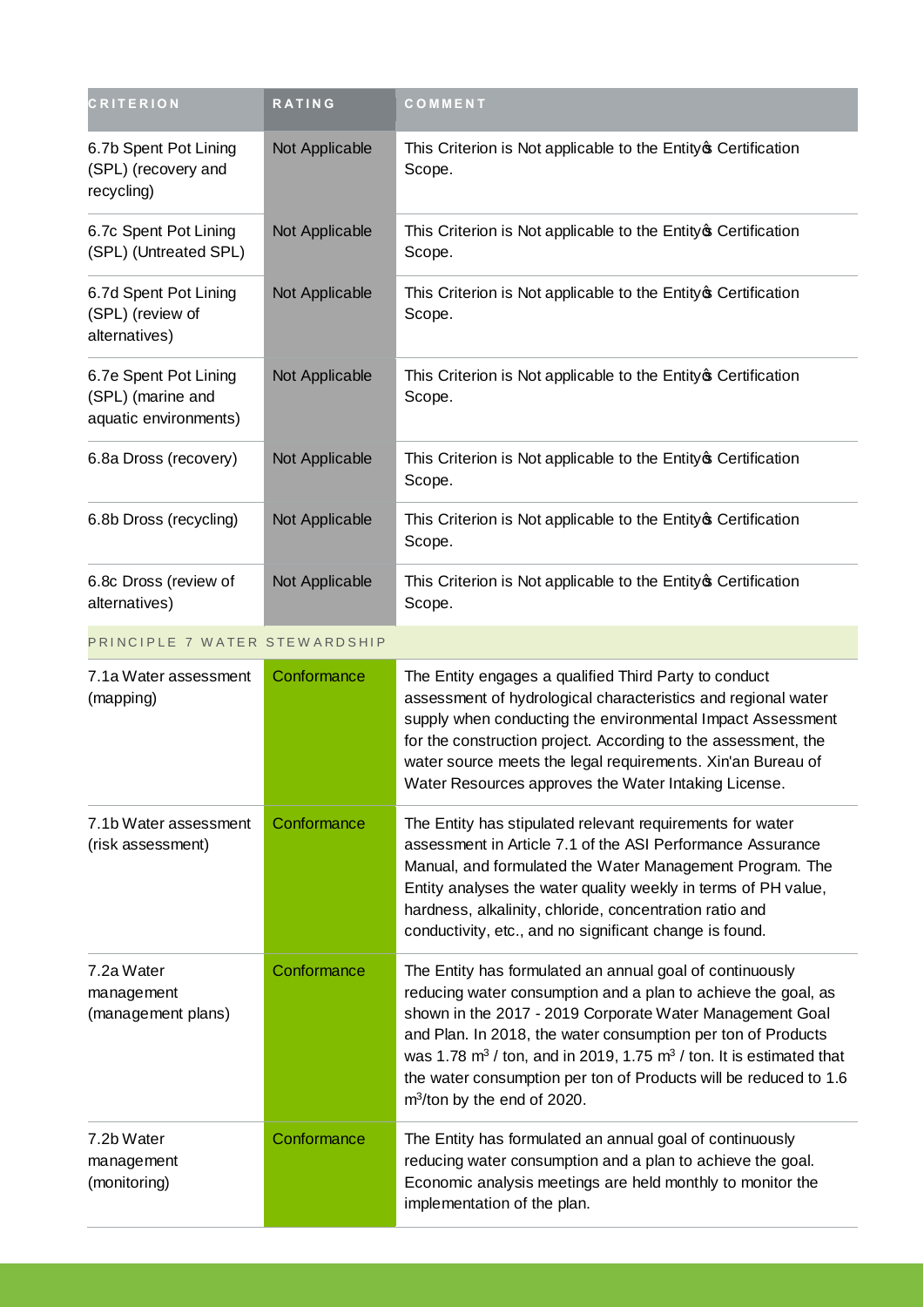| <b>CRITERION</b>                                                    | <b>RATING</b>  | COMMENT                                                                                                                                                                                                                                                                                                                                                                                                                                |
|---------------------------------------------------------------------|----------------|----------------------------------------------------------------------------------------------------------------------------------------------------------------------------------------------------------------------------------------------------------------------------------------------------------------------------------------------------------------------------------------------------------------------------------------|
| 6.7b Spent Pot Lining<br>(SPL) (recovery and<br>recycling)          | Not Applicable | This Criterion is Not applicable to the Entity of Certification<br>Scope.                                                                                                                                                                                                                                                                                                                                                              |
| 6.7c Spent Pot Lining<br>(SPL) (Untreated SPL)                      | Not Applicable | This Criterion is Not applicable to the Entity of Certification<br>Scope.                                                                                                                                                                                                                                                                                                                                                              |
| 6.7d Spent Pot Lining<br>(SPL) (review of<br>alternatives)          | Not Applicable | This Criterion is Not applicable to the Entity of Certification<br>Scope.                                                                                                                                                                                                                                                                                                                                                              |
| 6.7e Spent Pot Lining<br>(SPL) (marine and<br>aquatic environments) | Not Applicable | This Criterion is Not applicable to the Entity of Certification<br>Scope.                                                                                                                                                                                                                                                                                                                                                              |
| 6.8a Dross (recovery)                                               | Not Applicable | This Criterion is Not applicable to the Entity of Certification<br>Scope.                                                                                                                                                                                                                                                                                                                                                              |
| 6.8b Dross (recycling)                                              | Not Applicable | This Criterion is Not applicable to the Entity of Certification<br>Scope.                                                                                                                                                                                                                                                                                                                                                              |
| 6.8c Dross (review of<br>alternatives)                              | Not Applicable | This Criterion is Not applicable to the Entity of Certification<br>Scope.                                                                                                                                                                                                                                                                                                                                                              |
| PRINCIPLE 7 WATER STEWARDSHIP                                       |                |                                                                                                                                                                                                                                                                                                                                                                                                                                        |
| 7.1a Water assessment<br>(mapping)                                  | Conformance    | The Entity engages a qualified Third Party to conduct<br>assessment of hydrological characteristics and regional water<br>supply when conducting the environmental Impact Assessment<br>for the construction project. According to the assessment, the<br>water source meets the legal requirements. Xin'an Bureau of<br>Water Resources approves the Water Intaking License.                                                          |
| 7.1b Water assessment<br>(risk assessment)                          | Conformance    | The Entity has stipulated relevant requirements for water<br>assessment in Article 7.1 of the ASI Performance Assurance<br>Manual, and formulated the Water Management Program. The<br>Entity analyses the water quality weekly in terms of PH value,<br>hardness, alkalinity, chloride, concentration ratio and<br>conductivity, etc., and no significant change is found.                                                            |
| 7.2a Water<br>management<br>(management plans)                      | Conformance    | The Entity has formulated an annual goal of continuously<br>reducing water consumption and a plan to achieve the goal, as<br>shown in the 2017 - 2019 Corporate Water Management Goal<br>and Plan. In 2018, the water consumption per ton of Products<br>was 1.78 $m3$ / ton, and in 2019, 1.75 $m3$ / ton. It is estimated that<br>the water consumption per ton of Products will be reduced to 1.6<br>$m^3$ /ton by the end of 2020. |
| 7.2b Water<br>management<br>(monitoring)                            | Conformance    | The Entity has formulated an annual goal of continuously<br>reducing water consumption and a plan to achieve the goal.<br>Economic analysis meetings are held monthly to monitor the<br>implementation of the plan.                                                                                                                                                                                                                    |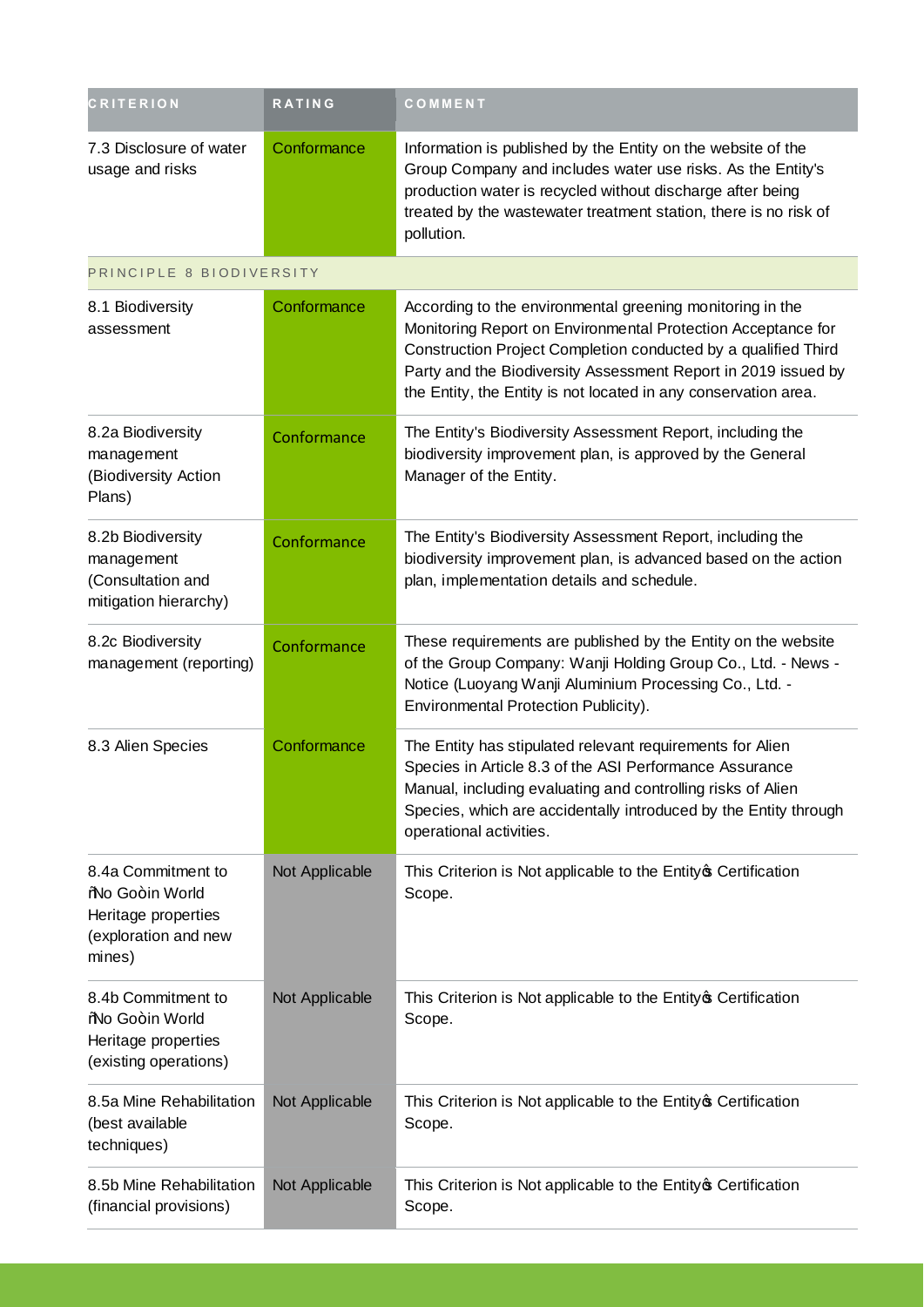| <b>CRITERION</b>                                                                               | RATING         | COMMENT                                                                                                                                                                                                                                                                                                                          |
|------------------------------------------------------------------------------------------------|----------------|----------------------------------------------------------------------------------------------------------------------------------------------------------------------------------------------------------------------------------------------------------------------------------------------------------------------------------|
| 7.3 Disclosure of water<br>usage and risks                                                     | Conformance    | Information is published by the Entity on the website of the<br>Group Company and includes water use risks. As the Entity's<br>production water is recycled without discharge after being<br>treated by the wastewater treatment station, there is no risk of<br>pollution.                                                      |
| PRINCIPLE 8 BIODIVERSITY                                                                       |                |                                                                                                                                                                                                                                                                                                                                  |
| 8.1 Biodiversity<br>assessment                                                                 | Conformance    | According to the environmental greening monitoring in the<br>Monitoring Report on Environmental Protection Acceptance for<br>Construction Project Completion conducted by a qualified Third<br>Party and the Biodiversity Assessment Report in 2019 issued by<br>the Entity, the Entity is not located in any conservation area. |
| 8.2a Biodiversity<br>management<br>(Biodiversity Action<br>Plans)                              | Conformance    | The Entity's Biodiversity Assessment Report, including the<br>biodiversity improvement plan, is approved by the General<br>Manager of the Entity.                                                                                                                                                                                |
| 8.2b Biodiversity<br>management<br>(Consultation and<br>mitigation hierarchy)                  | Conformance    | The Entity's Biodiversity Assessment Report, including the<br>biodiversity improvement plan, is advanced based on the action<br>plan, implementation details and schedule.                                                                                                                                                       |
| 8.2c Biodiversity<br>management (reporting)                                                    | Conformance    | These requirements are published by the Entity on the website<br>of the Group Company: Wanji Holding Group Co., Ltd. - News -<br>Notice (Luoyang Wanji Aluminium Processing Co., Ltd. -<br>Environmental Protection Publicity).                                                                                                  |
| 8.3 Alien Species                                                                              | Conformance    | The Entity has stipulated relevant requirements for Alien<br>Species in Article 8.3 of the ASI Performance Assurance<br>Manual, including evaluating and controlling risks of Alien<br>Species, which are accidentally introduced by the Entity through<br>operational activities.                                               |
| 8.4a Commitment to<br>%No Go+in World<br>Heritage properties<br>(exploration and new<br>mines) | Not Applicable | This Criterion is Not applicable to the Entity of Certification<br>Scope.                                                                                                                                                                                                                                                        |
| 8.4b Commitment to<br>%No Go+in World<br>Heritage properties<br>(existing operations)          | Not Applicable | This Criterion is Not applicable to the Entity of Certification<br>Scope.                                                                                                                                                                                                                                                        |
| 8.5a Mine Rehabilitation<br>(best available<br>techniques)                                     | Not Applicable | This Criterion is Not applicable to the Entity of Certification<br>Scope.                                                                                                                                                                                                                                                        |
| 8.5b Mine Rehabilitation<br>(financial provisions)                                             | Not Applicable | This Criterion is Not applicable to the Entity of Certification<br>Scope.                                                                                                                                                                                                                                                        |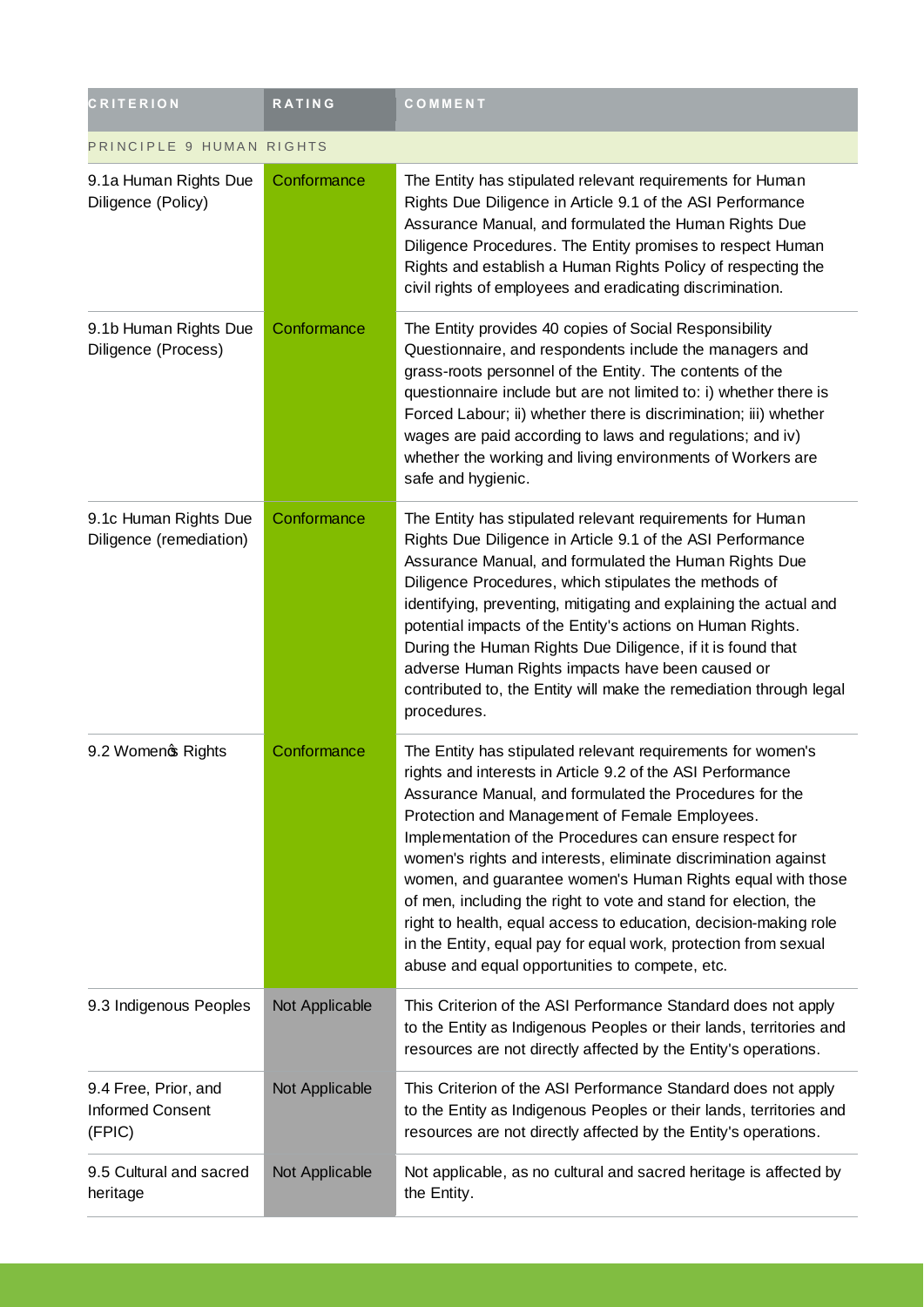| <b>CRITERION</b>                                          | <b>RATING</b>  | COMMENT                                                                                                                                                                                                                                                                                                                                                                                                                                                                                                                                                                                                                                                                                       |
|-----------------------------------------------------------|----------------|-----------------------------------------------------------------------------------------------------------------------------------------------------------------------------------------------------------------------------------------------------------------------------------------------------------------------------------------------------------------------------------------------------------------------------------------------------------------------------------------------------------------------------------------------------------------------------------------------------------------------------------------------------------------------------------------------|
| PRINCIPLE 9 HUMAN RIGHTS                                  |                |                                                                                                                                                                                                                                                                                                                                                                                                                                                                                                                                                                                                                                                                                               |
| 9.1a Human Rights Due<br>Diligence (Policy)               | Conformance    | The Entity has stipulated relevant requirements for Human<br>Rights Due Diligence in Article 9.1 of the ASI Performance<br>Assurance Manual, and formulated the Human Rights Due<br>Diligence Procedures. The Entity promises to respect Human<br>Rights and establish a Human Rights Policy of respecting the<br>civil rights of employees and eradicating discrimination.                                                                                                                                                                                                                                                                                                                   |
| 9.1b Human Rights Due<br>Diligence (Process)              | Conformance    | The Entity provides 40 copies of Social Responsibility<br>Questionnaire, and respondents include the managers and<br>grass-roots personnel of the Entity. The contents of the<br>questionnaire include but are not limited to: i) whether there is<br>Forced Labour; ii) whether there is discrimination; iii) whether<br>wages are paid according to laws and regulations; and iv)<br>whether the working and living environments of Workers are<br>safe and hygienic.                                                                                                                                                                                                                       |
| 9.1c Human Rights Due<br>Diligence (remediation)          | Conformance    | The Entity has stipulated relevant requirements for Human<br>Rights Due Diligence in Article 9.1 of the ASI Performance<br>Assurance Manual, and formulated the Human Rights Due<br>Diligence Procedures, which stipulates the methods of<br>identifying, preventing, mitigating and explaining the actual and<br>potential impacts of the Entity's actions on Human Rights.<br>During the Human Rights Due Diligence, if it is found that<br>adverse Human Rights impacts have been caused or<br>contributed to, the Entity will make the remediation through legal<br>procedures.                                                                                                           |
| 9.2 Womenc Rights                                         | Conformance    | The Entity has stipulated relevant requirements for women's<br>rights and interests in Article 9.2 of the ASI Performance<br>Assurance Manual, and formulated the Procedures for the<br>Protection and Management of Female Employees.<br>Implementation of the Procedures can ensure respect for<br>women's rights and interests, eliminate discrimination against<br>women, and guarantee women's Human Rights equal with those<br>of men, including the right to vote and stand for election, the<br>right to health, equal access to education, decision-making role<br>in the Entity, equal pay for equal work, protection from sexual<br>abuse and equal opportunities to compete, etc. |
| 9.3 Indigenous Peoples                                    | Not Applicable | This Criterion of the ASI Performance Standard does not apply<br>to the Entity as Indigenous Peoples or their lands, territories and<br>resources are not directly affected by the Entity's operations.                                                                                                                                                                                                                                                                                                                                                                                                                                                                                       |
| 9.4 Free, Prior, and<br><b>Informed Consent</b><br>(FPIC) | Not Applicable | This Criterion of the ASI Performance Standard does not apply<br>to the Entity as Indigenous Peoples or their lands, territories and<br>resources are not directly affected by the Entity's operations.                                                                                                                                                                                                                                                                                                                                                                                                                                                                                       |
| 9.5 Cultural and sacred<br>heritage                       | Not Applicable | Not applicable, as no cultural and sacred heritage is affected by<br>the Entity.                                                                                                                                                                                                                                                                                                                                                                                                                                                                                                                                                                                                              |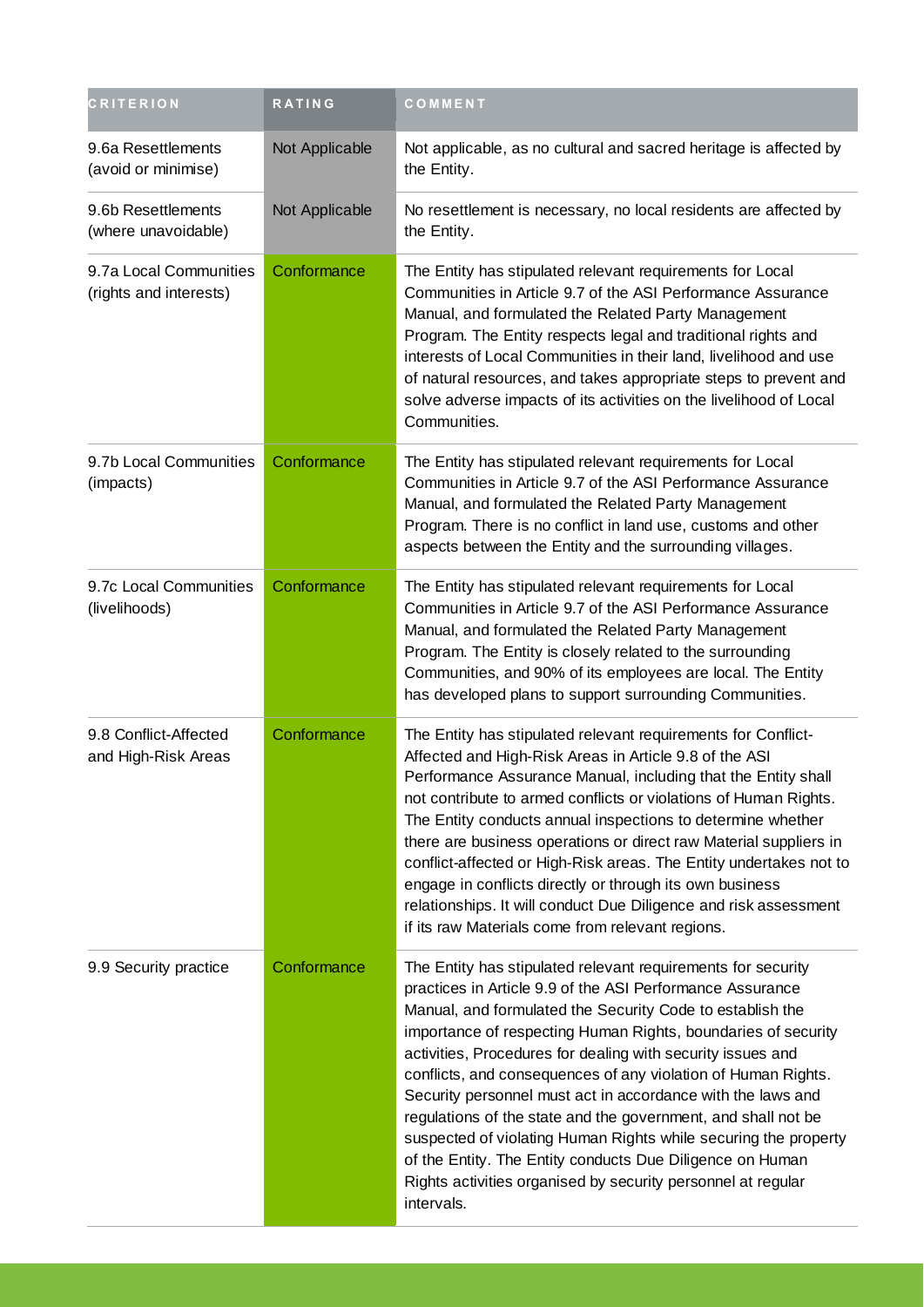| <b>CRITERION</b>                                 | <b>RATING</b>  | <b>COMMENT</b>                                                                                                                                                                                                                                                                                                                                                                                                                                                                                                                                                                                                                                                                                                                        |
|--------------------------------------------------|----------------|---------------------------------------------------------------------------------------------------------------------------------------------------------------------------------------------------------------------------------------------------------------------------------------------------------------------------------------------------------------------------------------------------------------------------------------------------------------------------------------------------------------------------------------------------------------------------------------------------------------------------------------------------------------------------------------------------------------------------------------|
| 9.6a Resettlements<br>(avoid or minimise)        | Not Applicable | Not applicable, as no cultural and sacred heritage is affected by<br>the Entity.                                                                                                                                                                                                                                                                                                                                                                                                                                                                                                                                                                                                                                                      |
| 9.6b Resettlements<br>(where unavoidable)        | Not Applicable | No resettlement is necessary, no local residents are affected by<br>the Entity.                                                                                                                                                                                                                                                                                                                                                                                                                                                                                                                                                                                                                                                       |
| 9.7a Local Communities<br>(rights and interests) | Conformance    | The Entity has stipulated relevant requirements for Local<br>Communities in Article 9.7 of the ASI Performance Assurance<br>Manual, and formulated the Related Party Management<br>Program. The Entity respects legal and traditional rights and<br>interests of Local Communities in their land, livelihood and use<br>of natural resources, and takes appropriate steps to prevent and<br>solve adverse impacts of its activities on the livelihood of Local<br>Communities.                                                                                                                                                                                                                                                        |
| 9.7b Local Communities<br>(impacts)              | Conformance    | The Entity has stipulated relevant requirements for Local<br>Communities in Article 9.7 of the ASI Performance Assurance<br>Manual, and formulated the Related Party Management<br>Program. There is no conflict in land use, customs and other<br>aspects between the Entity and the surrounding villages.                                                                                                                                                                                                                                                                                                                                                                                                                           |
| 9.7c Local Communities<br>(livelihoods)          | Conformance    | The Entity has stipulated relevant requirements for Local<br>Communities in Article 9.7 of the ASI Performance Assurance<br>Manual, and formulated the Related Party Management<br>Program. The Entity is closely related to the surrounding<br>Communities, and 90% of its employees are local. The Entity<br>has developed plans to support surrounding Communities.                                                                                                                                                                                                                                                                                                                                                                |
| 9.8 Conflict-Affected<br>and High-Risk Areas     | Conformance    | The Entity has stipulated relevant requirements for Conflict-<br>Affected and High-Risk Areas in Article 9.8 of the ASI<br>Performance Assurance Manual, including that the Entity shall<br>not contribute to armed conflicts or violations of Human Rights.<br>The Entity conducts annual inspections to determine whether<br>there are business operations or direct raw Material suppliers in<br>conflict-affected or High-Risk areas. The Entity undertakes not to<br>engage in conflicts directly or through its own business<br>relationships. It will conduct Due Diligence and risk assessment<br>if its raw Materials come from relevant regions.                                                                            |
| 9.9 Security practice                            | Conformance    | The Entity has stipulated relevant requirements for security<br>practices in Article 9.9 of the ASI Performance Assurance<br>Manual, and formulated the Security Code to establish the<br>importance of respecting Human Rights, boundaries of security<br>activities, Procedures for dealing with security issues and<br>conflicts, and consequences of any violation of Human Rights.<br>Security personnel must act in accordance with the laws and<br>regulations of the state and the government, and shall not be<br>suspected of violating Human Rights while securing the property<br>of the Entity. The Entity conducts Due Diligence on Human<br>Rights activities organised by security personnel at regular<br>intervals. |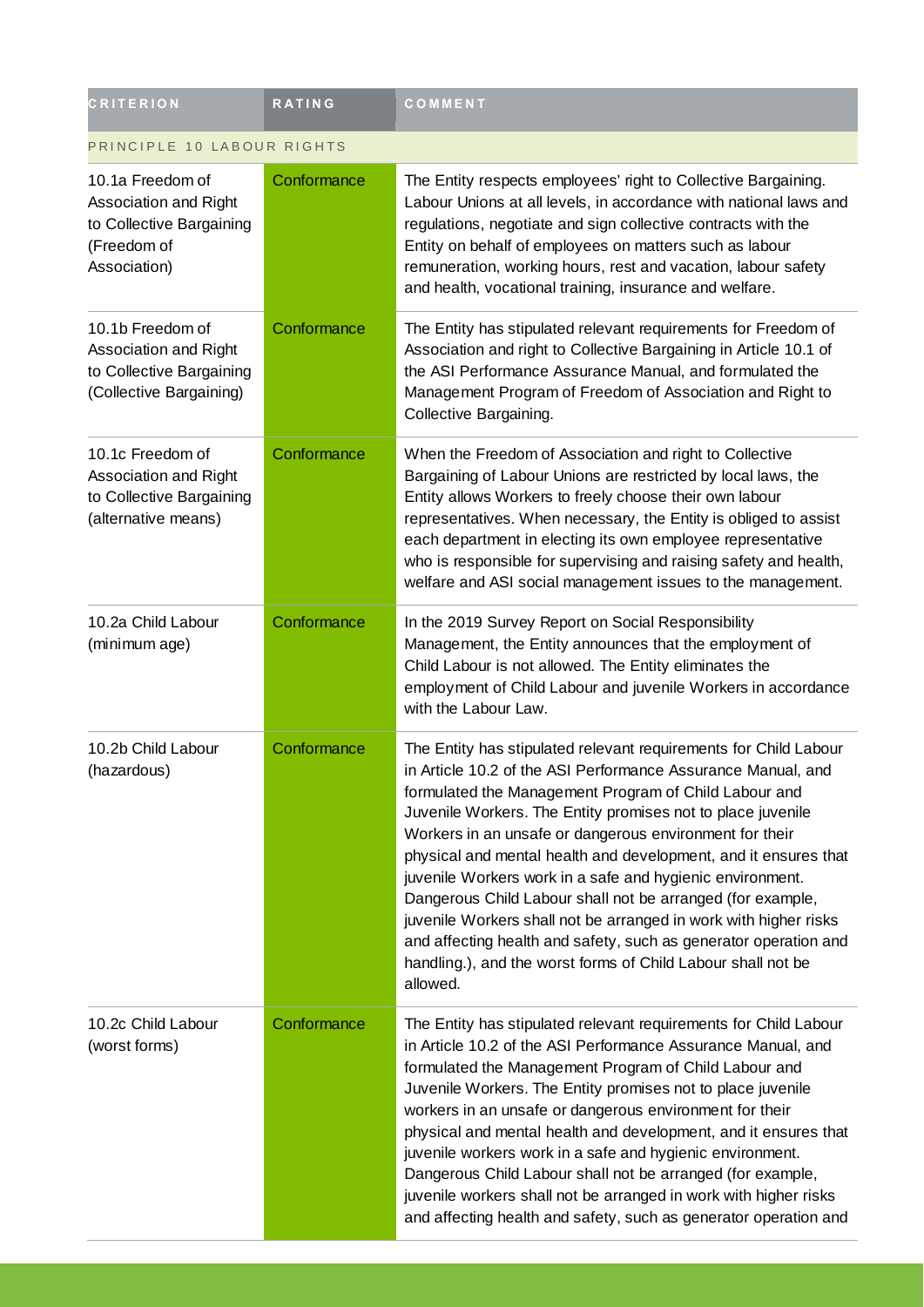| <b>CRITERION</b>                                                                                     | <b>RATING</b> | COMMENT                                                                                                                                                                                                                                                                                                                                                                                                                                                                                                                                                                                                                                                                                                                               |
|------------------------------------------------------------------------------------------------------|---------------|---------------------------------------------------------------------------------------------------------------------------------------------------------------------------------------------------------------------------------------------------------------------------------------------------------------------------------------------------------------------------------------------------------------------------------------------------------------------------------------------------------------------------------------------------------------------------------------------------------------------------------------------------------------------------------------------------------------------------------------|
| PRINCIPLE 10 LABOUR RIGHTS                                                                           |               |                                                                                                                                                                                                                                                                                                                                                                                                                                                                                                                                                                                                                                                                                                                                       |
| 10.1a Freedom of<br>Association and Right<br>to Collective Bargaining<br>(Freedom of<br>Association) | Conformance   | The Entity respects employees' right to Collective Bargaining.<br>Labour Unions at all levels, in accordance with national laws and<br>regulations, negotiate and sign collective contracts with the<br>Entity on behalf of employees on matters such as labour<br>remuneration, working hours, rest and vacation, labour safety<br>and health, vocational training, insurance and welfare.                                                                                                                                                                                                                                                                                                                                           |
| 10.1b Freedom of<br>Association and Right<br>to Collective Bargaining<br>(Collective Bargaining)     | Conformance   | The Entity has stipulated relevant requirements for Freedom of<br>Association and right to Collective Bargaining in Article 10.1 of<br>the ASI Performance Assurance Manual, and formulated the<br>Management Program of Freedom of Association and Right to<br>Collective Bargaining.                                                                                                                                                                                                                                                                                                                                                                                                                                                |
| 10.1c Freedom of<br>Association and Right<br>to Collective Bargaining<br>(alternative means)         | Conformance   | When the Freedom of Association and right to Collective<br>Bargaining of Labour Unions are restricted by local laws, the<br>Entity allows Workers to freely choose their own labour<br>representatives. When necessary, the Entity is obliged to assist<br>each department in electing its own employee representative<br>who is responsible for supervising and raising safety and health,<br>welfare and ASI social management issues to the management.                                                                                                                                                                                                                                                                            |
| 10.2a Child Labour<br>(minimum age)                                                                  | Conformance   | In the 2019 Survey Report on Social Responsibility<br>Management, the Entity announces that the employment of<br>Child Labour is not allowed. The Entity eliminates the<br>employment of Child Labour and juvenile Workers in accordance<br>with the Labour Law.                                                                                                                                                                                                                                                                                                                                                                                                                                                                      |
| 10.2b Child Labour<br>(hazardous)                                                                    | Conformance   | The Entity has stipulated relevant requirements for Child Labour<br>in Article 10.2 of the ASI Performance Assurance Manual, and<br>formulated the Management Program of Child Labour and<br>Juvenile Workers. The Entity promises not to place juvenile<br>Workers in an unsafe or dangerous environment for their<br>physical and mental health and development, and it ensures that<br>juvenile Workers work in a safe and hygienic environment.<br>Dangerous Child Labour shall not be arranged (for example,<br>juvenile Workers shall not be arranged in work with higher risks<br>and affecting health and safety, such as generator operation and<br>handling.), and the worst forms of Child Labour shall not be<br>allowed. |
| 10.2c Child Labour<br>(worst forms)                                                                  | Conformance   | The Entity has stipulated relevant requirements for Child Labour<br>in Article 10.2 of the ASI Performance Assurance Manual, and<br>formulated the Management Program of Child Labour and<br>Juvenile Workers. The Entity promises not to place juvenile<br>workers in an unsafe or dangerous environment for their<br>physical and mental health and development, and it ensures that<br>juvenile workers work in a safe and hygienic environment.<br>Dangerous Child Labour shall not be arranged (for example,<br>juvenile workers shall not be arranged in work with higher risks<br>and affecting health and safety, such as generator operation and                                                                             |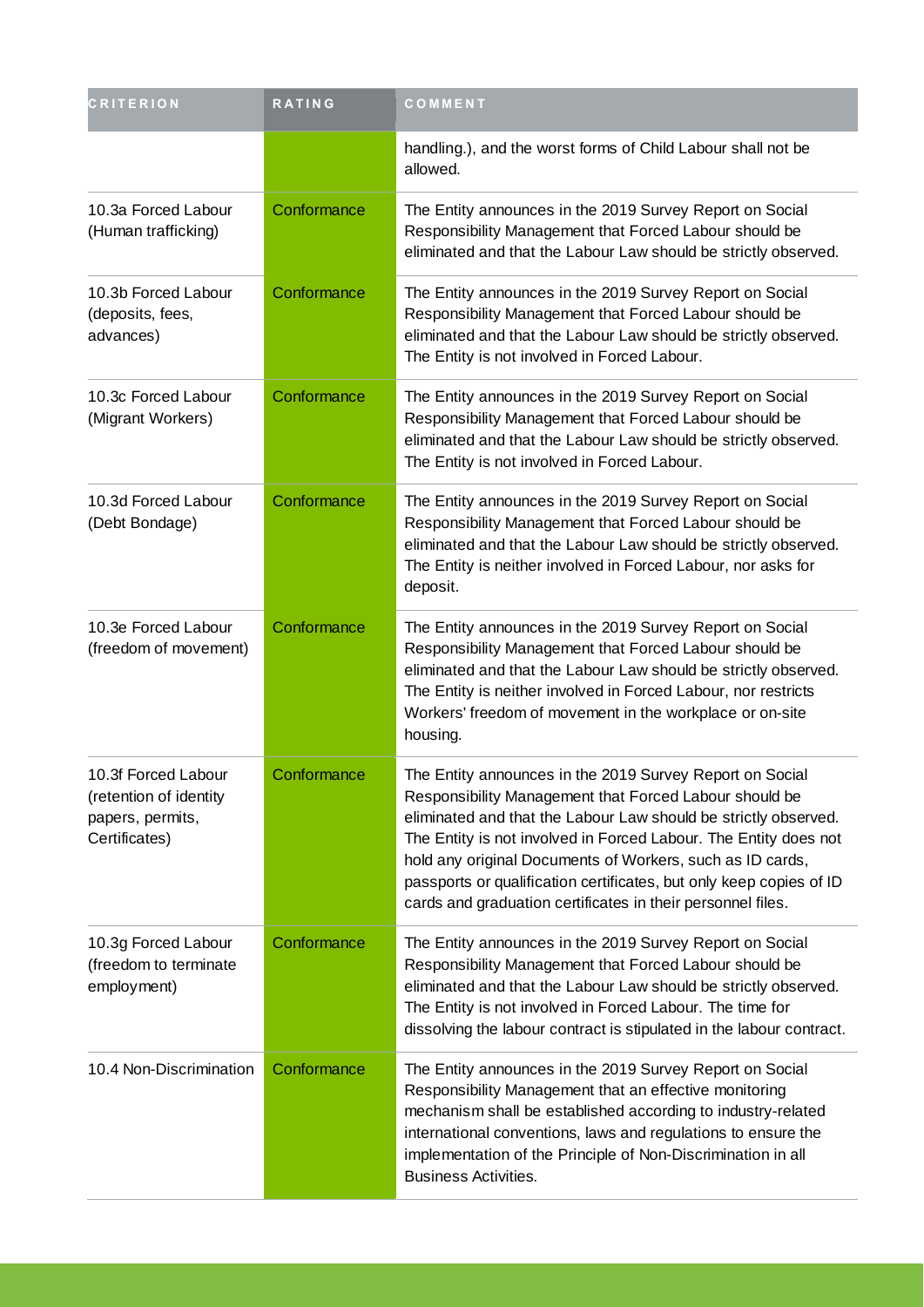| <b>CRITERION</b>                                                                   | <b>RATING</b> | COMMENT                                                                                                                                                                                                                                                                                                                                                                                                                                                      |
|------------------------------------------------------------------------------------|---------------|--------------------------------------------------------------------------------------------------------------------------------------------------------------------------------------------------------------------------------------------------------------------------------------------------------------------------------------------------------------------------------------------------------------------------------------------------------------|
|                                                                                    |               | handling.), and the worst forms of Child Labour shall not be<br>allowed.                                                                                                                                                                                                                                                                                                                                                                                     |
| 10.3a Forced Labour<br>(Human trafficking)                                         | Conformance   | The Entity announces in the 2019 Survey Report on Social<br>Responsibility Management that Forced Labour should be<br>eliminated and that the Labour Law should be strictly observed.                                                                                                                                                                                                                                                                        |
| 10.3b Forced Labour<br>(deposits, fees,<br>advances)                               | Conformance   | The Entity announces in the 2019 Survey Report on Social<br>Responsibility Management that Forced Labour should be<br>eliminated and that the Labour Law should be strictly observed.<br>The Entity is not involved in Forced Labour.                                                                                                                                                                                                                        |
| 10.3c Forced Labour<br>(Migrant Workers)                                           | Conformance   | The Entity announces in the 2019 Survey Report on Social<br>Responsibility Management that Forced Labour should be<br>eliminated and that the Labour Law should be strictly observed.<br>The Entity is not involved in Forced Labour.                                                                                                                                                                                                                        |
| 10.3d Forced Labour<br>(Debt Bondage)                                              | Conformance   | The Entity announces in the 2019 Survey Report on Social<br>Responsibility Management that Forced Labour should be<br>eliminated and that the Labour Law should be strictly observed.<br>The Entity is neither involved in Forced Labour, nor asks for<br>deposit.                                                                                                                                                                                           |
| 10.3e Forced Labour<br>(freedom of movement)                                       | Conformance   | The Entity announces in the 2019 Survey Report on Social<br>Responsibility Management that Forced Labour should be<br>eliminated and that the Labour Law should be strictly observed.<br>The Entity is neither involved in Forced Labour, nor restricts<br>Workers' freedom of movement in the workplace or on-site<br>housing.                                                                                                                              |
| 10.3f Forced Labour<br>(retention of identity<br>papers, permits,<br>Certificates) | Conformance   | The Entity announces in the 2019 Survey Report on Social<br>Responsibility Management that Forced Labour should be<br>eliminated and that the Labour Law should be strictly observed.<br>The Entity is not involved in Forced Labour. The Entity does not<br>hold any original Documents of Workers, such as ID cards,<br>passports or qualification certificates, but only keep copies of ID<br>cards and graduation certificates in their personnel files. |
| 10.3g Forced Labour<br>(freedom to terminate<br>employment)                        | Conformance   | The Entity announces in the 2019 Survey Report on Social<br>Responsibility Management that Forced Labour should be<br>eliminated and that the Labour Law should be strictly observed.<br>The Entity is not involved in Forced Labour. The time for<br>dissolving the labour contract is stipulated in the labour contract.                                                                                                                                   |
| 10.4 Non-Discrimination                                                            | Conformance   | The Entity announces in the 2019 Survey Report on Social<br>Responsibility Management that an effective monitoring<br>mechanism shall be established according to industry-related<br>international conventions, laws and regulations to ensure the<br>implementation of the Principle of Non-Discrimination in all<br><b>Business Activities.</b>                                                                                                           |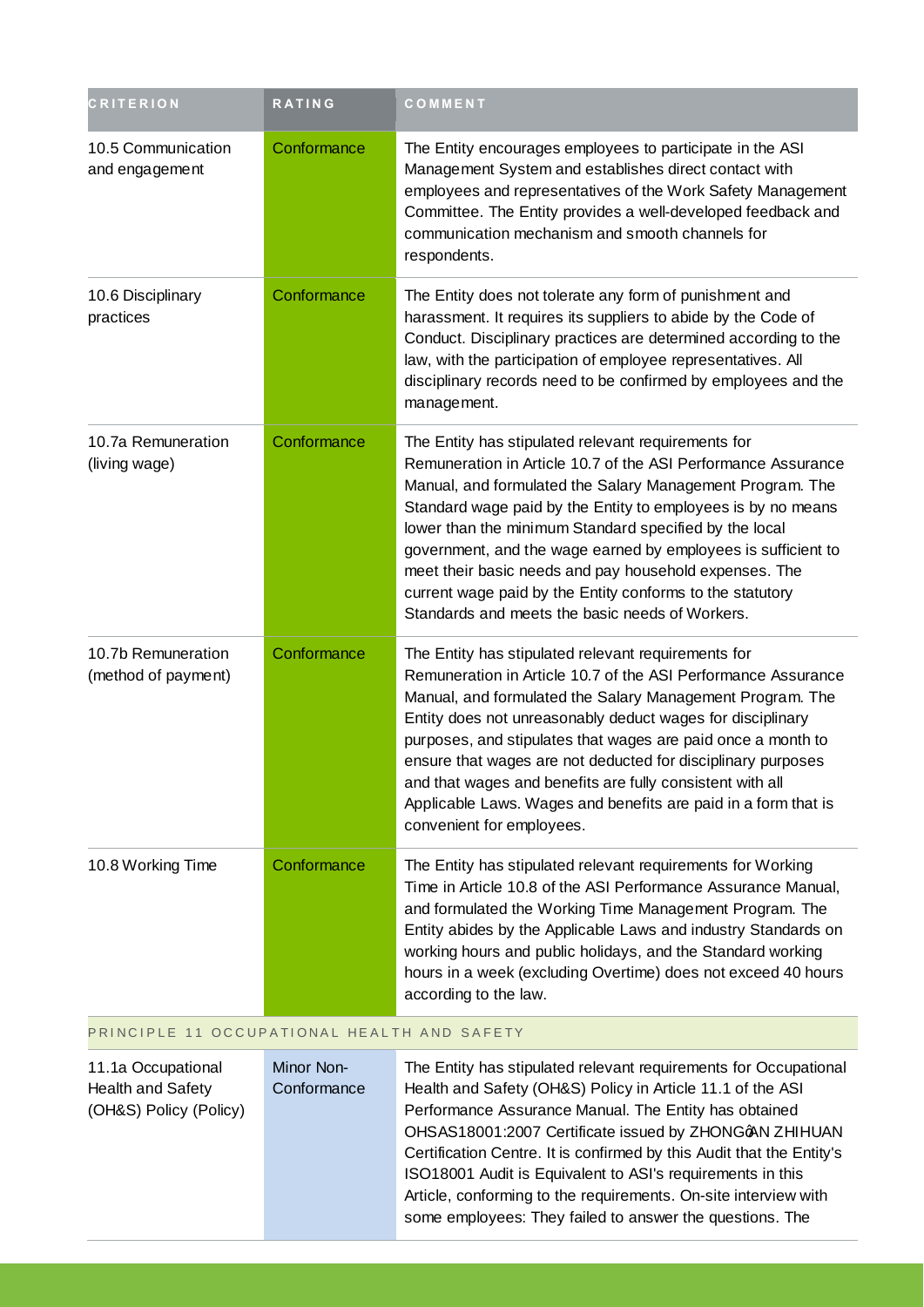| <b>CRITERION</b>                          | RATING      | COMMENT                                                                                                                                                                                                                                                                                                                                                                                                                                                                                                                                                |
|-------------------------------------------|-------------|--------------------------------------------------------------------------------------------------------------------------------------------------------------------------------------------------------------------------------------------------------------------------------------------------------------------------------------------------------------------------------------------------------------------------------------------------------------------------------------------------------------------------------------------------------|
| 10.5 Communication<br>and engagement      | Conformance | The Entity encourages employees to participate in the ASI<br>Management System and establishes direct contact with<br>employees and representatives of the Work Safety Management<br>Committee. The Entity provides a well-developed feedback and<br>communication mechanism and smooth channels for<br>respondents.                                                                                                                                                                                                                                   |
| 10.6 Disciplinary<br>practices            | Conformance | The Entity does not tolerate any form of punishment and<br>harassment. It requires its suppliers to abide by the Code of<br>Conduct. Disciplinary practices are determined according to the<br>law, with the participation of employee representatives. All<br>disciplinary records need to be confirmed by employees and the<br>management.                                                                                                                                                                                                           |
| 10.7a Remuneration<br>(living wage)       | Conformance | The Entity has stipulated relevant requirements for<br>Remuneration in Article 10.7 of the ASI Performance Assurance<br>Manual, and formulated the Salary Management Program. The<br>Standard wage paid by the Entity to employees is by no means<br>lower than the minimum Standard specified by the local<br>government, and the wage earned by employees is sufficient to<br>meet their basic needs and pay household expenses. The<br>current wage paid by the Entity conforms to the statutory<br>Standards and meets the basic needs of Workers. |
| 10.7b Remuneration<br>(method of payment) | Conformance | The Entity has stipulated relevant requirements for<br>Remuneration in Article 10.7 of the ASI Performance Assurance<br>Manual, and formulated the Salary Management Program. The<br>Entity does not unreasonably deduct wages for disciplinary<br>purposes, and stipulates that wages are paid once a month to<br>ensure that wages are not deducted for disciplinary purposes<br>and that wages and benefits are fully consistent with all<br>Applicable Laws. Wages and benefits are paid in a form that is<br>convenient for employees.            |
| 10.8 Working Time                         | Conformance | The Entity has stipulated relevant requirements for Working<br>Time in Article 10.8 of the ASI Performance Assurance Manual,<br>and formulated the Working Time Management Program. The<br>Entity abides by the Applicable Laws and industry Standards on<br>working hours and public holidays, and the Standard working<br>hours in a week (excluding Overtime) does not exceed 40 hours<br>according to the law.                                                                                                                                     |

#### PRINCIPLE 11 OCCUPATIONAL HEALTH AND SAFETY

| 11.1a Occupational       | Minor Non-  | The Entity has stipulated relevant requirements for Occupational      |
|--------------------------|-------------|-----------------------------------------------------------------------|
| <b>Health and Safety</b> | Conformance | Health and Safety (OH&S) Policy in Article 11.1 of the ASI            |
| (OH&S) Policy (Policy)   |             | Performance Assurance Manual. The Entity has obtained                 |
|                          |             | OHSAS18001:2007 Certificate issued by ZHONGoAN ZHIHUAN                |
|                          |             | Certification Centre. It is confirmed by this Audit that the Entity's |
|                          |             | ISO18001 Audit is Equivalent to ASI's requirements in this            |
|                          |             | Article, conforming to the requirements. On-site interview with       |
|                          |             | some employees: They failed to answer the questions. The              |
|                          |             |                                                                       |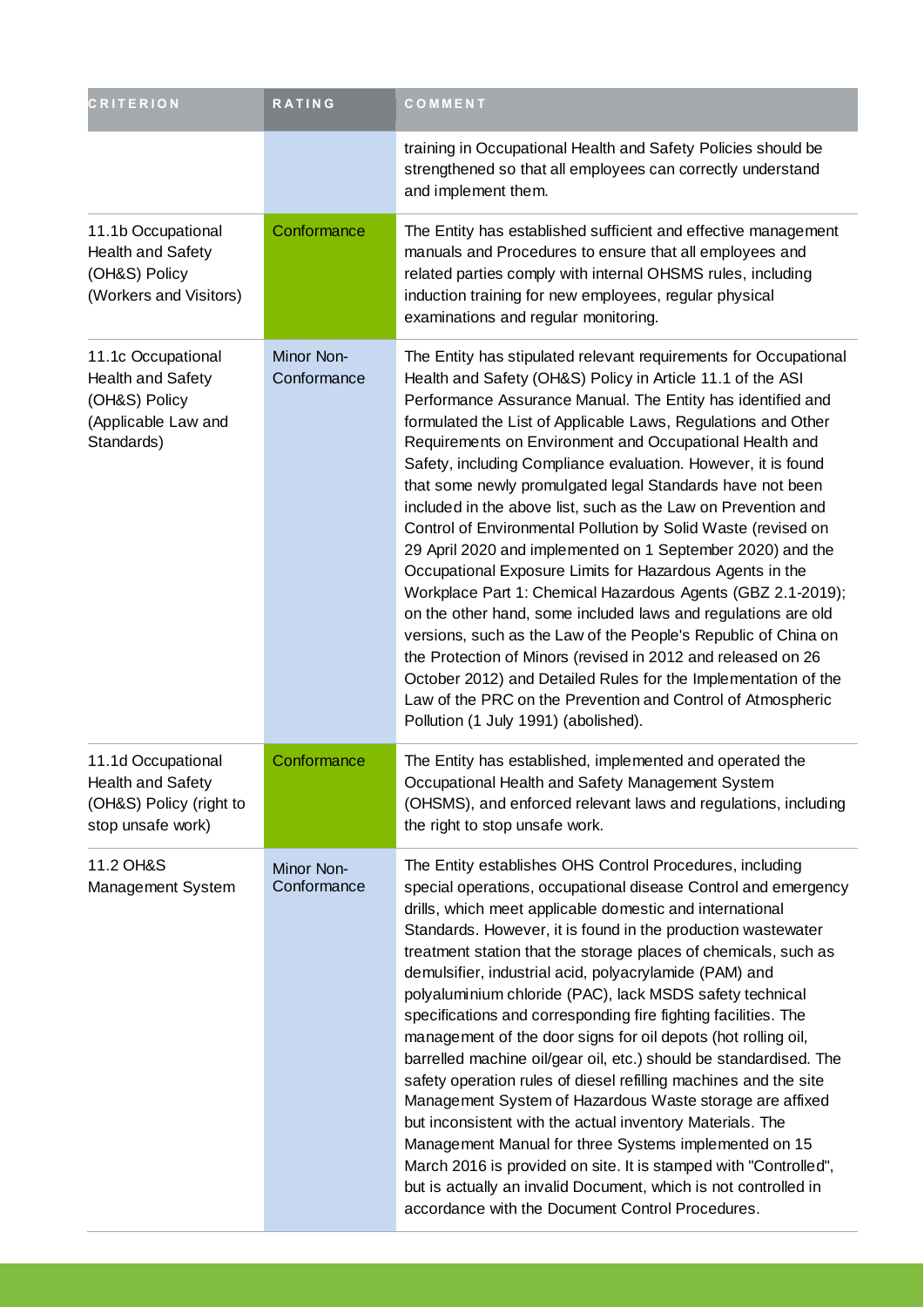| <b>CRITERION</b>                                                                                     | <b>RATING</b>             | COMMENT                                                                                                                                                                                                                                                                                                                                                                                                                                                                                                                                                                                                                                                                                                                                                                                                                                                                                                                                                                                                                                                                                                                                                        |
|------------------------------------------------------------------------------------------------------|---------------------------|----------------------------------------------------------------------------------------------------------------------------------------------------------------------------------------------------------------------------------------------------------------------------------------------------------------------------------------------------------------------------------------------------------------------------------------------------------------------------------------------------------------------------------------------------------------------------------------------------------------------------------------------------------------------------------------------------------------------------------------------------------------------------------------------------------------------------------------------------------------------------------------------------------------------------------------------------------------------------------------------------------------------------------------------------------------------------------------------------------------------------------------------------------------|
|                                                                                                      |                           | training in Occupational Health and Safety Policies should be<br>strengthened so that all employees can correctly understand<br>and implement them.                                                                                                                                                                                                                                                                                                                                                                                                                                                                                                                                                                                                                                                                                                                                                                                                                                                                                                                                                                                                            |
| 11.1b Occupational<br><b>Health and Safety</b><br>(OH&S) Policy<br>(Workers and Visitors)            | Conformance               | The Entity has established sufficient and effective management<br>manuals and Procedures to ensure that all employees and<br>related parties comply with internal OHSMS rules, including<br>induction training for new employees, regular physical<br>examinations and regular monitoring.                                                                                                                                                                                                                                                                                                                                                                                                                                                                                                                                                                                                                                                                                                                                                                                                                                                                     |
| 11.1c Occupational<br><b>Health and Safety</b><br>(OH&S) Policy<br>(Applicable Law and<br>Standards) | Minor Non-<br>Conformance | The Entity has stipulated relevant requirements for Occupational<br>Health and Safety (OH&S) Policy in Article 11.1 of the ASI<br>Performance Assurance Manual. The Entity has identified and<br>formulated the List of Applicable Laws, Regulations and Other<br>Requirements on Environment and Occupational Health and<br>Safety, including Compliance evaluation. However, it is found<br>that some newly promulgated legal Standards have not been<br>included in the above list, such as the Law on Prevention and<br>Control of Environmental Pollution by Solid Waste (revised on<br>29 April 2020 and implemented on 1 September 2020) and the<br>Occupational Exposure Limits for Hazardous Agents in the<br>Workplace Part 1: Chemical Hazardous Agents (GBZ 2.1-2019);<br>on the other hand, some included laws and regulations are old<br>versions, such as the Law of the People's Republic of China on<br>the Protection of Minors (revised in 2012 and released on 26<br>October 2012) and Detailed Rules for the Implementation of the<br>Law of the PRC on the Prevention and Control of Atmospheric<br>Pollution (1 July 1991) (abolished). |
| 11.1d Occupational<br>Health and Safety<br>(OH&S) Policy (right to<br>stop unsafe work)              | Conformance               | The Entity has established, implemented and operated the<br>Occupational Health and Safety Management System<br>(OHSMS), and enforced relevant laws and regulations, including<br>the right to stop unsafe work.                                                                                                                                                                                                                                                                                                                                                                                                                                                                                                                                                                                                                                                                                                                                                                                                                                                                                                                                               |
| 11.2 OH&S<br>Management System                                                                       | Minor Non-<br>Conformance | The Entity establishes OHS Control Procedures, including<br>special operations, occupational disease Control and emergency<br>drills, which meet applicable domestic and international<br>Standards. However, it is found in the production wastewater<br>treatment station that the storage places of chemicals, such as<br>demulsifier, industrial acid, polyacrylamide (PAM) and<br>polyaluminium chloride (PAC), lack MSDS safety technical<br>specifications and corresponding fire fighting facilities. The<br>management of the door signs for oil depots (hot rolling oil,<br>barrelled machine oil/gear oil, etc.) should be standardised. The<br>safety operation rules of diesel refilling machines and the site<br>Management System of Hazardous Waste storage are affixed<br>but inconsistent with the actual inventory Materials. The<br>Management Manual for three Systems implemented on 15<br>March 2016 is provided on site. It is stamped with "Controlled",<br>but is actually an invalid Document, which is not controlled in<br>accordance with the Document Control Procedures.                                                       |